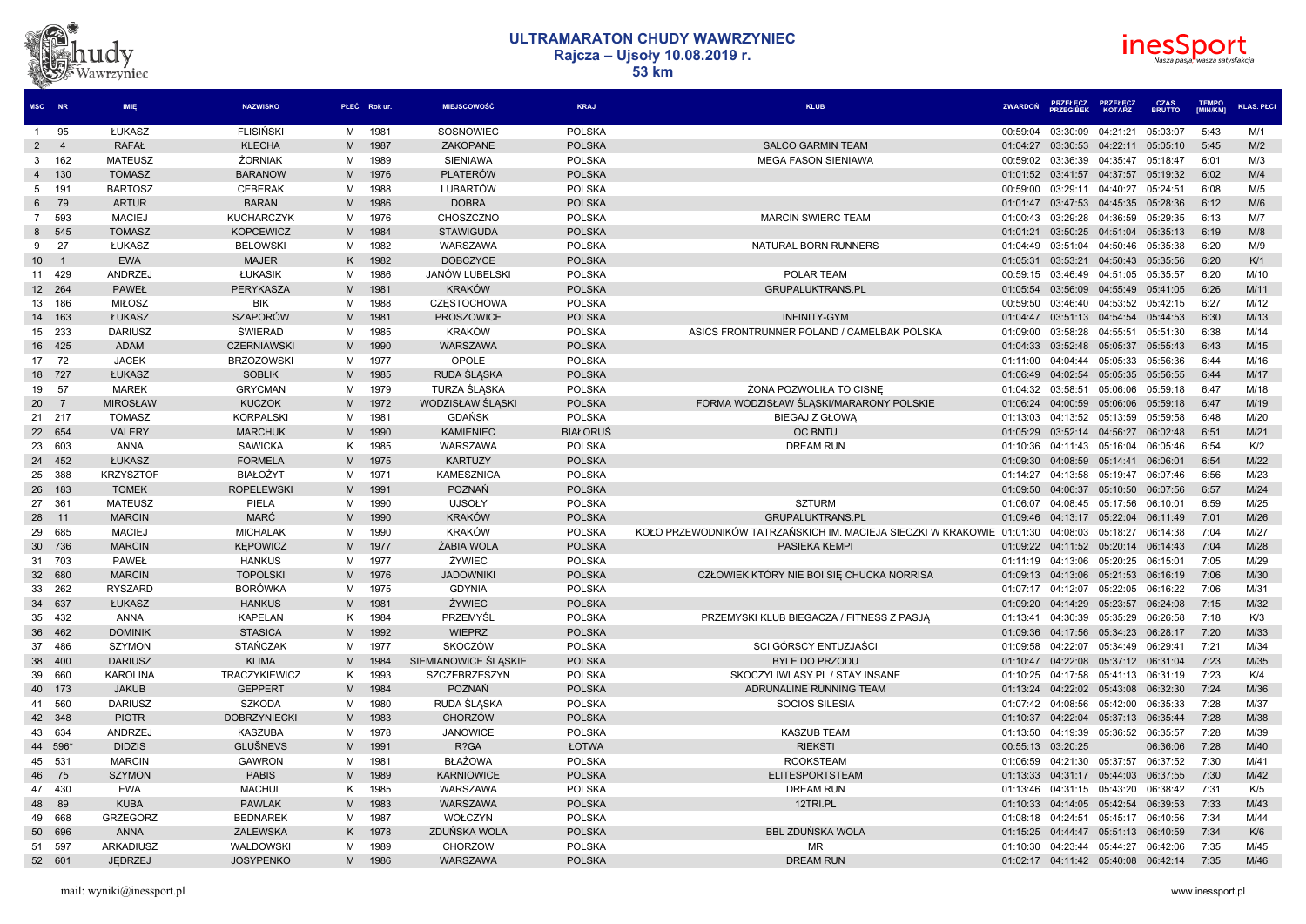



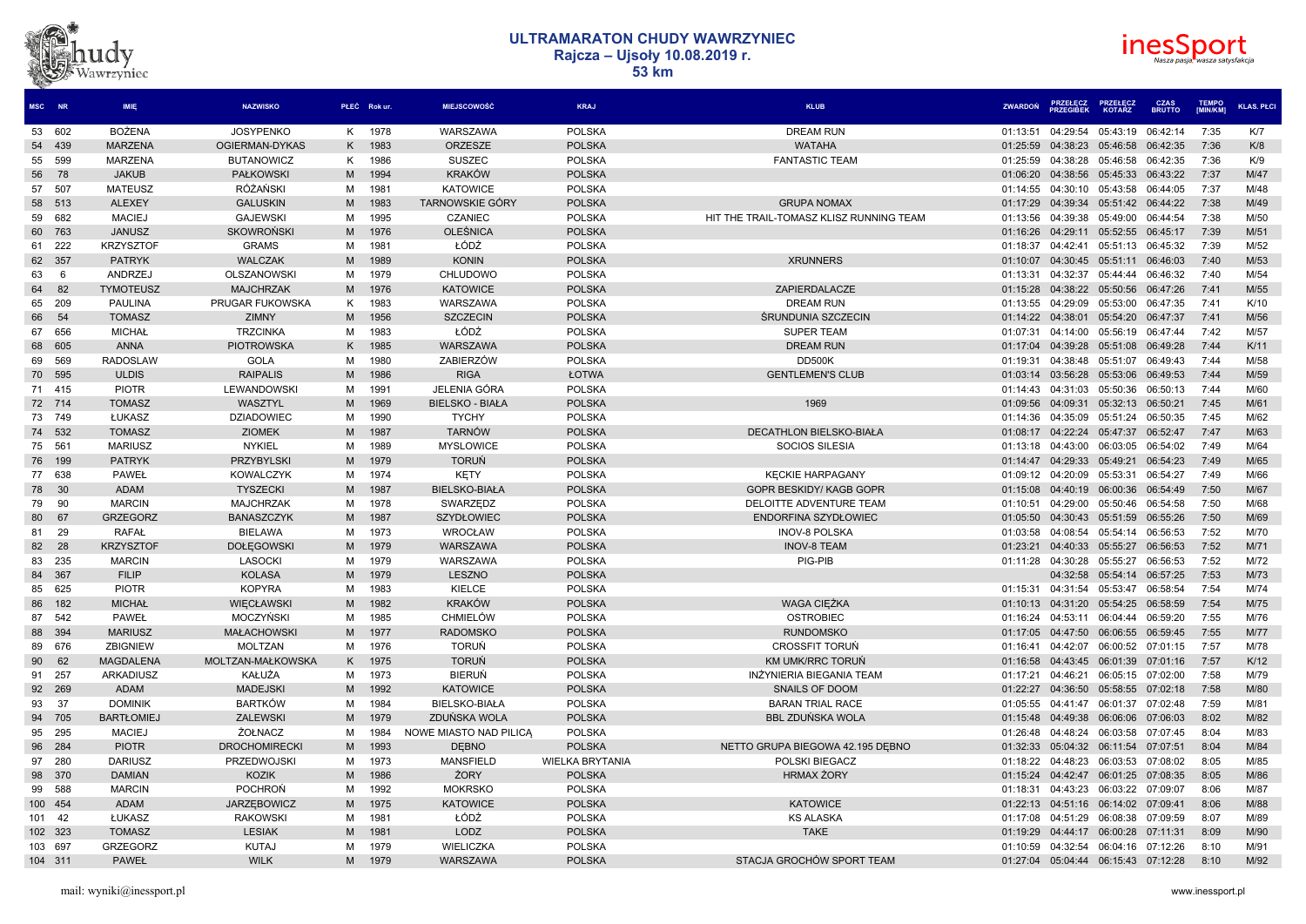# dv Vawrzyniec



| MSC NR |         | <b>IMIE</b>       | <b>NAZWISKO</b>      |   | PŁEĆ Rok ur. | <b>MIEJSCOWOŚĆ</b>     | <b>KRAJ</b>            | <b>KLUB</b>                             | <b>ZWARDON</b> | <b>PRZEŁĘCZ<br/>PRZEGIBEK</b> | <b>PRZEŁECZ</b><br>KOTARZ | <b>CZAS<br/>BRUTTO</b> | <b>TEMPO</b><br>[MIN/KM] | <b>KLAS. PŁCI</b> |
|--------|---------|-------------------|----------------------|---|--------------|------------------------|------------------------|-----------------------------------------|----------------|-------------------------------|---------------------------|------------------------|--------------------------|-------------------|
|        | 53 602  | <b>BOŻENA</b>     | <b>JOSYPENKO</b>     | K | 1978         | WARSZAWA               | <b>POLSKA</b>          | <b>DREAM RUN</b>                        | 01:13:51       | 04:29:54                      | 05:43:19                  | 06:42:14               | 7:35                     | K/7               |
| 54     | 439     | <b>MARZENA</b>    | OGIERMAN-DYKAS       | K | 1983         | <b>ORZESZE</b>         | <b>POLSKA</b>          | <b>WATAHA</b>                           | 01:25:59       | 04:38:23                      | 05:46:58                  | 06:42:35               | 7:36                     | K/8               |
| 55     | 599     | <b>MARZENA</b>    | <b>BUTANOWICZ</b>    | K | 1986         | <b>SUSZEC</b>          | <b>POLSKA</b>          | <b>FANTASTIC TEAM</b>                   | 01:25:59       | 04:38:28                      | 05:46:58                  | 06:42:35               | 7:36                     | K/9               |
| 56     | 78      | <b>JAKUB</b>      | <b>PAŁKOWSKI</b>     | M | 1994         | <b>KRAKÓW</b>          | <b>POLSKA</b>          |                                         | 01:06:20       | 04:38:56 05:45:33             |                           | 06:43:22               | 7:37                     | M/47              |
| 57     | 507     | <b>MATEUSZ</b>    | RÓŻAŃSKI             | M | 1981         | <b>KATOWICE</b>        | <b>POLSKA</b>          |                                         | 01:14:55       | 04:30:10                      | 05:43:58                  | 06:44:05               | 7:37                     | M/48              |
| 58     | 513     | <b>ALEXEY</b>     | <b>GALUSKIN</b>      | M | 1983         | <b>TARNOWSKIE GÓRY</b> | <b>POLSKA</b>          | <b>GRUPA NOMAX</b>                      | 01:17:29       | 04:39:34                      | 05:51:42                  | 06:44:22               | 7:38                     | M/49              |
| 59     | 682     | <b>MACIEJ</b>     | <b>GAJEWSKI</b>      | M | 1995         | CZANIEC                | <b>POLSKA</b>          | HIT THE TRAIL-TOMASZ KLISZ RUNNING TEAM | 01:13:56       | 04:39:38                      | 05:49:00                  | 06:44:54               | 7:38                     | M/50              |
| 60     | 763     | <b>JANUSZ</b>     | <b>SKOWRONSKI</b>    | M | 1976         | <b>OLEŚNICA</b>        | <b>POLSKA</b>          |                                         | 01:16:26       | 04:29:11                      | 05:52:55                  | 06:45:17               | 7:39                     | M/51              |
| 61     | 222     | <b>KRZYSZTOF</b>  | <b>GRAMS</b>         | м | 1981         | ŁÓDŹ                   | <b>POLSKA</b>          |                                         | 01:18:37       | 04:42:41                      | 05:51:13                  | 06:45:32               | 7:39                     | M/52              |
| 62     | 357     | <b>PATRYK</b>     | <b>WALCZAK</b>       | M | 1989         | <b>KONIN</b>           | <b>POLSKA</b>          | <b>XRUNNERS</b>                         | 01:10:07       | 04:30:45                      | 05:51:11                  | 06:46:03               | 7:40                     | M/53              |
| 63     | 6       | ANDRZEJ           | OLSZANOWSK           | M | 1979         | CHLUDOWO               | <b>POLSKA</b>          |                                         | 01:13:31       | 04:32:37                      | 05:44:44                  | 06:46:32               | 7:40                     | M/54              |
| 64     | 82      | <b>TYMOTEUSZ</b>  | <b>MAJCHRZAK</b>     | M | 1976         | <b>KATOWICE</b>        | <b>POLSKA</b>          | ZAPIERDALACZE                           | 01:15:28       | 04:38:22 05:50:56             |                           | 06:47:26               | 7:41                     | M/55              |
| 65     | 209     | <b>PAULINA</b>    | PRUGAR FUKOWSKA      | ĸ | 1983         | WARSZAWA               | <b>POLSKA</b>          | <b>DREAM RUN</b>                        | 01:13:55       | 04:29:09                      | 05:53:00                  | 06:47:35               | 7:41                     | K/10              |
| 66     | 54      | <b>TOMASZ</b>     | ZIMNY                | M | 1956         | <b>SZCZECIN</b>        | <b>POLSKA</b>          | <b>ŚRUNDUNIA SZCZECIN</b>               | 01:14:22       | 04:38:01                      | 05:54:20                  | 06:47:37               | 7:41                     | M/56              |
| 67     | 656     | <b>MICHAŁ</b>     | <b>TRZCINKA</b>      | м | 1983         | ŁÓDŹ                   | <b>POLSKA</b>          | <b>SUPER TEAM</b>                       | 01:07:31       | 04:14:00                      | 05:56:19                  | 06:47:44               | 7:42                     | M/57              |
| 68     | 605     | <b>ANNA</b>       | <b>PIOTROWSKA</b>    | K | 1985         | WARSZAWA               | <b>POLSKA</b>          | <b>DREAM RUN</b>                        | 01:17:04       | 04:39:28                      | 05:51:08                  | 06:49:28               | 7:44                     | K/11              |
| 69     | 569     | <b>RADOSLAW</b>   | <b>GOLA</b>          | M | 1980         | ZABIERZÓW              | <b>POLSKA</b>          | DD500K                                  | 01:19:31       | 04:38:48                      | 05:51:07                  | 06:49:43               | 7:44                     | M/58              |
|        | 70 595  | <b>ULDIS</b>      | <b>RAIPALIS</b>      | M | 1986         | <b>RIGA</b>            | ŁOTWA                  | <b>GENTLEMEN'S CLUB</b>                 |                | 01:03:14 03:56:28 05:53:06    |                           | 06:49:53               | 7:44                     | M/59              |
|        | 71 415  | <b>PIOTR</b>      | <b>LEWANDOWSKI</b>   | м | 1991         | JELENIA GÓRA           | <b>POLSKA</b>          |                                         | 01:14:43       | 04:31:03                      | 05:50:36                  | 06:50:13               | 7:44                     | M/60              |
|        | 72 714  | <b>TOMASZ</b>     | WASZTYL              | M | 1969         | <b>BIELSKO - BIAŁA</b> | <b>POLSKA</b>          | 1969                                    | 01:09:56       | 04:09:31                      | 05:32:13                  | 06:50:21               | 7:45                     | M/61              |
|        | 73 749  | ŁUKASZ            | <b>DZIADOWIEC</b>    | M | 1990         | <b>TYCHY</b>           | <b>POLSKA</b>          |                                         | 01:14:36       | 04:35:09                      | 05:51:24                  | 06:50:35               | 7:45                     | M/62              |
|        | 74 532  | <b>TOMASZ</b>     | <b>ZIOMEK</b>        | M | 1987         | <b>TARNÓW</b>          | <b>POLSKA</b>          | DECATHLON BIELSKO-BIAŁA                 | 01:08:17       | 04:22:24 05:47:37             |                           | 06:52:47               | 7:47                     | M/63              |
|        | 75 561  | <b>MARIUSZ</b>    | NYKIEL               | M | 1989         | <b>MYSLOWICE</b>       | <b>POLSKA</b>          | <b>SOCIOS SILESIA</b>                   | 01:13:18       | 04:43:00                      | 06:03:05                  | 06:54:02               | 7:49                     | M/64              |
| 76     | 199     | <b>PATRYK</b>     | PRZYBYLSKI           | M | 1979         | <b>TORUŃ</b>           | <b>POLSKA</b>          |                                         | 01:14:47       | 04:29:33                      | 05:49:21                  | 06:54:23               | 7:49                     | M/65              |
| 77     | 638     | <b>PAWEŁ</b>      | <b>KOWALCZYK</b>     | M | 1974         | <b>KETY</b>            | <b>POLSKA</b>          | <b>KECKIE HARPAGANY</b>                 | 01:09:12       | 04:20:09                      | 05:53:31                  | 06:54:27               | 7:49                     | M/66              |
| 78     | 30      | <b>ADAM</b>       | <b>TYSZECKI</b>      | M | 1987         | <b>BIELSKO-BIAŁA</b>   | <b>POLSKA</b>          | <b>GOPR BESKIDY/ KAGB GOPR</b>          | 01:15:08       | 04:40:19                      | 06:00:36                  | 06:54:49               | 7:50                     | M/67              |
| 79     | 90      | <b>MARCIN</b>     | <b>MAJCHRZAK</b>     | M | 1978         | SWARZEDZ               | <b>POLSKA</b>          | DELOITTE ADVENTURE TEAM                 | 01:10:51       | 04:29:00 05:50:46             |                           | 06:54:58               | 7:50                     | M/68              |
| 80     | 67      | <b>GRZEGORZ</b>   | <b>BANASZCZYK</b>    | M | 1987         | SZYDŁOWIEC             | <b>POLSKA</b>          | ENDORFINA SZYDŁOWIEC                    | 01:05:50       | 04:30:43                      | 05:51:59                  | 06:55:26               | 7:50                     | M/69              |
| 81     | 29      | <b>RAFAŁ</b>      | <b>BIELAWA</b>       | M | 1973         | <b>WROCŁAW</b>         | <b>POLSKA</b>          | <b>INOV-8 POLSKA</b>                    | 01:03:58       | 04:08:54                      | 05:54:14                  | 06:56:53               | 7:52                     | M/70              |
| 82     | 28      | <b>KRZYSZTOF</b>  | <b>DOŁĘGOWSKI</b>    | M | 1979         | WARSZAWA               | <b>POLSKA</b>          | <b>INOV-8 TEAM</b>                      | 01:23:21       | 04:40:33 05:55:27             |                           | 06:56:53               | 7:52                     | M/71              |
| 83     | 235     | <b>MARCIN</b>     | <b>LASOCKI</b>       | м | 1979         | WARSZAWA               | <b>POLSKA</b>          | PIG-PIB                                 | 01:11:28       | 04:30:28                      | 05:55:27                  | 06:56:53               | 7:52                     | M/72              |
| 84     | 367     | <b>FILIP</b>      | <b>KOLASA</b>        | M | 1979         | <b>LESZNO</b>          | <b>POLSKA</b>          |                                         |                |                               | 04:32:58 05:54:14         | 06:57:25               | 7:53                     | M/73              |
| 85     | 625     | <b>PIOTR</b>      | <b>KOPYRA</b>        | M | 1983         | KIELCE                 | <b>POLSKA</b>          |                                         | 01:15:31       | 04:31:54                      | 05:53:47                  | 06:58:54               | 7:54                     | M/74              |
| 86     | 182     | <b>MICHAŁ</b>     | <b>WIECŁAWSKI</b>    | M | 1982         | <b>KRAKÓW</b>          | <b>POLSKA</b>          | <b>WAGA CIEŻKA</b>                      | 01:10:13       | 04:31:20                      | 05:54:25                  | 06:58:59               | 7:54                     | M/75              |
| 87     | 542     | PAWEŁ             | MOCZYŃSKI            | M | 1985         | <b>CHMIELÓW</b>        | <b>POLSKA</b>          | <b>OSTROBIEC</b>                        | 01:16:24       | 04:53:11                      | 06:04:44                  | 06:59:20               | 7:55                     | M/76              |
| 88     | 394     | <b>MARIUSZ</b>    | <b>MAŁACHOWSK</b>    | M | 1977         | <b>RADOMSKO</b>        | <b>POLSKA</b>          | <b>RUNDOMSKO</b>                        | 01:17:05       | 04:47:50 06:06:55             |                           | 06:59:45               | 7:55                     | <b>M/77</b>       |
|        | 89 676  | <b>ZBIGNIEW</b>   | <b>MOLTZAN</b>       | M | 1976         | <b>TORUŃ</b>           | <b>POLSKA</b>          | <b>CROSSFIT TORUŃ</b>                   | 01:16:41       | 04:42:07                      | 06:00:52                  | 07:01:15               | 7:57                     | M/78              |
| 90     | 62      | <b>MAGDALENA</b>  | MOLTZAN-MAŁKOWSKA    |   | 1975         | <b>TORUŃ</b>           | <b>POLSKA</b>          | KM UMK/RRC TORUŃ                        | 01:16:58       | 04:43:45                      | 06:01:39                  | 07:01:16               | 7:57                     | K/12              |
| 91     | 257     | ARKADIUSZ         | KAŁUŻA               | M | 1973         | <b>BIERUŃ</b>          | <b>POLSKA</b>          | INŻYNIERIA BIEGANIA TEAM                | 01:17:21       | 04:46:21                      | 06:05:15                  | 07:02:00               | 7:58                     | M/79              |
|        | 92 269  | <b>ADAM</b>       | <b>MADEJSKI</b>      | M | 1992         | <b>KATOWICE</b>        | <b>POLSKA</b>          | <b>SNAILS OF DOOM</b>                   | 01:22:27       | 04:36:50                      | 05:58:55                  | 07:02:18               | 7:58                     | M/80              |
| 93     | 37      | <b>DOMINIK</b>    | <b>BARTKÓW</b>       | M | 1984         | <b>BIELSKO-BIAŁA</b>   | <b>POLSKA</b>          | <b>BARAN TRIAL RACE</b>                 | 01:05:55       | 04:41:47                      | 06:01:37                  | 07:02:48               | 7:59                     | M/81              |
| 94     | 705     | <b>BARTŁOMIEJ</b> | <b>ZALEWSKI</b>      | M | 1979         | ZDUŃSKA WOLA           | <b>POLSKA</b>          | <b>BBL ZDUŃSKA WOLA</b>                 | 01:15:48       | 04:49:38 06:06:06             |                           | 07:06:03               | 8:02                     | M/82              |
| 95     | 295     | <b>MACIEJ</b>     | ŻOŁNACZ              | M | 1984         | NOWE MIASTO NAD PILICA | <b>POLSKA</b>          |                                         | 01:26:48       | 04:48:24                      | 06:03:58                  | 07:07:45               | 8:04                     | M/83              |
| 96     | 284     | <b>PIOTR</b>      | <b>DROCHOMIRECKI</b> | M | 1993         | <b>DEBNO</b>           | <b>POLSKA</b>          | NETTO GRUPA BIEGOWA 42.195 DEBNO        | 01:32:33       | 05:04:32 06:11:54             |                           | 07:07:51               | 8:04                     | M/84              |
| 97     | 280     | <b>DARIUSZ</b>    | PRZEDWOJSKI          | M | 1973         | <b>MANSFIELD</b>       | <b>WIELKA BRYTANIA</b> | <b>POLSKI BIEGACZ</b>                   | 01:18:22       | 04:48:23                      | 06:03:53                  | 07:08:02               | 8:05                     | M/85              |
| 98     | 370     | <b>DAMIAN</b>     | <b>KOZIK</b>         | M | 1986         | <b>ŻORY</b>            | <b>POLSKA</b>          | <b>HRMAX ZORY</b>                       | 01:15:24       | 04:42:47 06:01:25             |                           | 07:08:35               | 8:05                     | M/86              |
| 99     | 588     | <b>MARCIN</b>     | <b>POCHRON</b>       | M | 1992         | <b>MOKRSKO</b>         | <b>POLSKA</b>          |                                         | 01:18:31       | 04:43:23                      | 06:03:22                  | 07:09:07               | 8:06                     | M/87              |
|        | 100 454 | <b>ADAM</b>       | <b>JARZEBOWICZ</b>   | M | 1975         | <b>KATOWICE</b>        | <b>POLSKA</b>          | <b>KATOWICE</b>                         | 01:22:13       | 04:51:16 06:14:02             |                           | 07:09:41               | 8:06                     | M/88              |
|        | 101 42  | ŁUKASZ            | <b>RAKOWSKI</b>      | м | 1981         | ŁÓDŹ                   | <b>POLSKA</b>          | <b>KS ALASKA</b>                        | 01:17:08       | 04:51:29                      | 06:08:38                  | 07:09:59               | 8:07                     | M/89              |
|        | 102 323 | <b>TOMASZ</b>     | <b>LESIAK</b>        | M | 1981         | LODZ                   | <b>POLSKA</b>          | <b>TAKE</b>                             | 01:19:29       | 04:44:17 06:00:28             |                           | 07:11:31               | 8:09                     | M/90              |
|        | 103 697 | <b>GRZEGORZ</b>   | <b>KUTAJ</b>         | M | 1979         | WIELICZKA              | <b>POLSKA</b>          |                                         | 01:10:59       | 04:32:54 06:04:16             |                           | 07:12:26               | 8:10                     | M/91              |
|        | 104 311 | <b>PAWEŁ</b>      | <b>WILK</b>          | M | 1979         | WARSZAWA               | <b>POLSKA</b>          | STACJA GROCHÓW SPORT TEAM               |                | 01:27:04 05:04:44 06:15:43    |                           | 07:12:28               | 8:10                     | M/92              |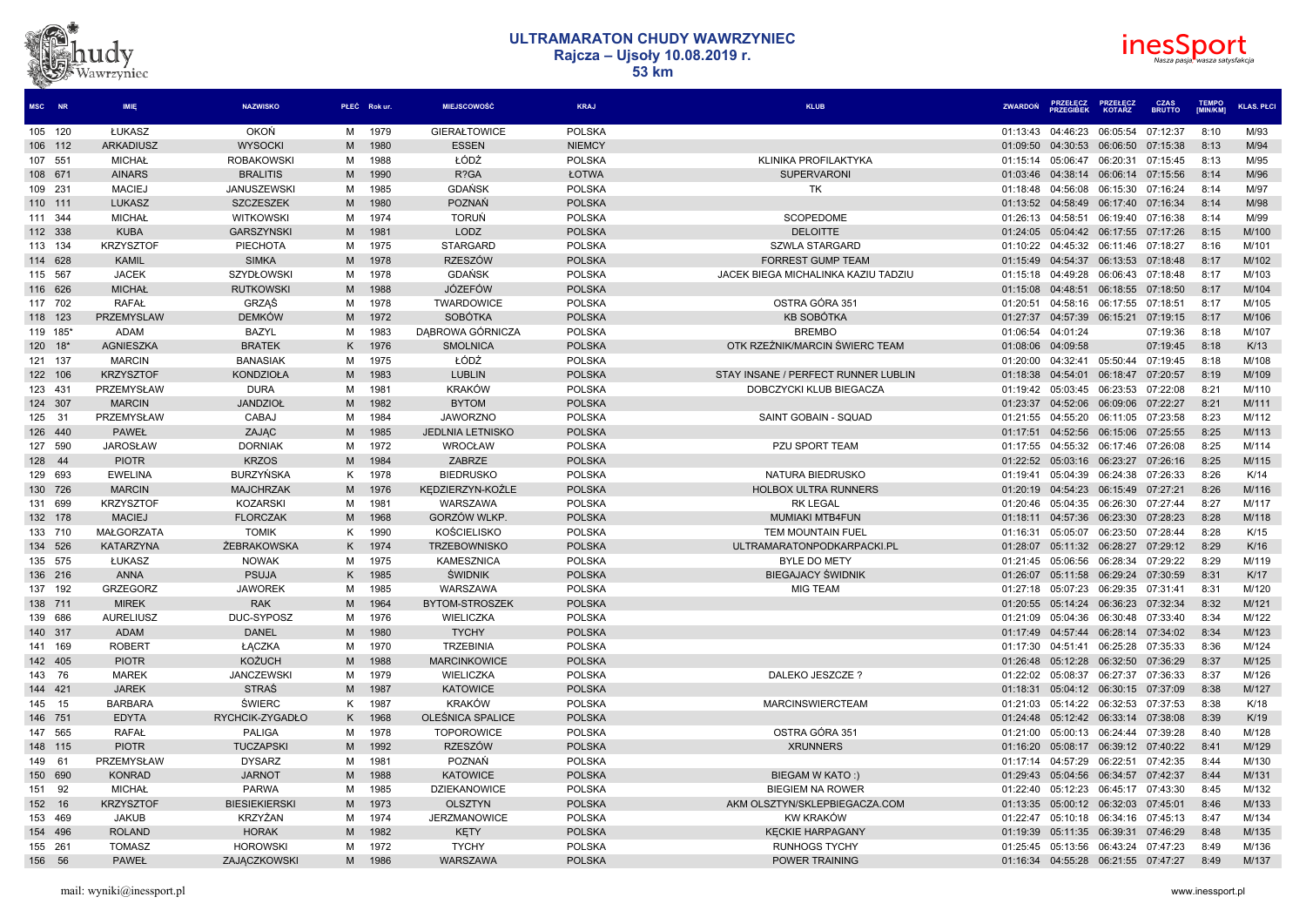# dvz .<br>Vawrzyniec



| MSC NR   |     | <b>IMIE</b>                   | <b>NAZWISKO</b>         |        | PŁEĆ Rokur.  | <b>MIEJSCOWOŚĆ</b>                      | <b>KRAJ</b>   | <b>KLUB</b>                         | <b>ZWARDOŃ</b>       | <b>PRZEŁĘCZ</b><br>PRZEGIBEK        | <b>PRZEŁECZ</b><br><b>KOTARZ</b> | <b>CZAS</b><br><b>BRUTTO</b> | <b>TEMPO</b><br>[MIN/KM] | <b>KLAS. PŁCI</b> |
|----------|-----|-------------------------------|-------------------------|--------|--------------|-----------------------------------------|---------------|-------------------------------------|----------------------|-------------------------------------|----------------------------------|------------------------------|--------------------------|-------------------|
| 105 120  |     | ŁUKASZ                        | <b>OKOŃ</b>             | М      | 1979         | <b>GIERAŁTOWICE</b>                     | <b>POLSKA</b> |                                     | 01:13:43             | 04:46:23                            | 06:05:54                         | 07:12:37                     | 8:10                     | M/93              |
| 106 112  |     | <b>ARKADIUSZ</b>              | <b>WYSOCKI</b>          | M      | 1980         | <b>ESSEN</b>                            | <b>NIEMCY</b> |                                     | 01:09:50             | 04:30:53                            | 06:06:50                         | 07:15:38                     | 8:13                     | M/94              |
| 107 551  |     | <b>MICHAŁ</b>                 | <b>ROBAKOWSK</b>        | м      | 1988         | ŁÓDŹ                                    | <b>POLSKA</b> | KLINIKA PROFILAKTYKA                | 01:15:14             | 05:06:47                            | 06:20:31                         | 07:15:45                     | 8:13                     | M/95              |
| 108 671  |     | <b>AINARS</b>                 | <b>BRALITIS</b>         | M      | 1990         | R?GA                                    | ŁOTWA         | <b>SUPERVARON</b>                   | 01:03:46             | 04:38:14                            | 06:06:14 07:15:56                |                              | 8:14                     | M/96              |
| 109 231  |     | <b>MACIEJ</b>                 | JANUSZEWSKI             | м      | 1985         | <b>GDAŃSK</b>                           | <b>POLSKA</b> | <b>TK</b>                           | 01:18:48             | 04:56:08                            | 06:15:30                         | 07:16:24                     | 8:14                     | M/97              |
| 110 111  |     | <b>LUKASZ</b>                 | <b>SZCZESZEK</b>        | M      | 1980         | POZNAŃ                                  | <b>POLSKA</b> |                                     | 01:13:52             | 04:58:49                            | 06:17:40                         | 07:16:34                     | 8:14                     | M/98              |
| 111 344  |     | <b>MICHAŁ</b>                 | <b>WITKOWSKI</b>        | м      | 1974         | <b>TORUN</b>                            | <b>POLSKA</b> | SCOPEDOME                           | 01:26:13             | 04:58:51                            | 06:19:40                         | 07:16:38                     | 8:14                     | M/99              |
| 112 338  |     | <b>KUBA</b>                   | <b>GARSZYNSKI</b>       | M      | 1981         | <b>LODZ</b>                             | <b>POLSKA</b> | <b>DELOITTE</b>                     |                      | 01:24:05 05:04:42 06:17:55 07:17:26 |                                  |                              | 8:15                     | M/100             |
| 113 134  |     | <b>KRZYSZTOF</b>              | PIECHOTA                | м      | 1975         | <b>STARGARD</b>                         | <b>POLSKA</b> | <b>SZWLA STARGARD</b>               | 01:10:22             | 04:45:32                            | 06:11:46                         | 07:18:27                     | 8:16                     | M/101             |
| 114 628  |     | <b>KAMIL</b>                  | <b>SIMKA</b>            | M      | 1978         | <b>RZESZÓW</b>                          | <b>POLSKA</b> | <b>FORREST GUMP TEAM</b>            | 01:15:49             | 04:54:37                            | 06:13:53                         | 07:18:48                     | 8:17                     | M/102             |
| 115 567  |     | <b>JACEK</b>                  | <b>SZYDŁOWSKI</b>       | M      | 1978         | GDAŃSK                                  | <b>POLSKA</b> | JACEK BIEGA MICHALINKA KAZIU TADZIU | 01:15:18             | 04:49:28                            | 06:06:43                         | 07:18:48                     | 8:17                     | M/103             |
| 116 626  |     | <b>MICHAŁ</b>                 | <b>RUTKOWSKI</b>        | M      | 1988         | <b>JÓZEFÓW</b>                          | <b>POLSKA</b> |                                     | 01:15:08             | 04:48:51 06:18:55 07:18:50          |                                  |                              | 8:17                     | M/104             |
| 117 702  |     | <b>RAFAŁ</b>                  | GRZAŚ                   | м      | 1978         | TWARDOWICE                              | <b>POLSKA</b> | OSTRA GÓRA 351                      | 01:20:51             | 04:58:16                            | 06:17:55                         | 07:18:51                     | 8:17                     | M/105             |
| 118 123  |     | <b>PRZEMYSLAW</b>             | <b>DEMKÓW</b>           | M      | 1972         | <b>SOBÓTKA</b>                          | <b>POLSKA</b> | KB SOBÓTKA                          | 01:27:37             | 04:57:39                            | 06:15:21                         | 07:19:15                     | 8:17                     | M/106             |
| 119 185* |     | <b>ADAM</b>                   | <b>BAZYL</b>            | M      | 1983         | DABROWA GÓRNICZA                        | <b>POLSKA</b> | <b>BREMBO</b>                       | 01:06:54             | 04:01:24                            |                                  | 07:19:36                     | 8:18                     | M/107             |
| 120 18*  |     | <b>AGNIESZKA</b>              | <b>BRATEK</b>           | K      | 1976         | <b>SMOLNICA</b>                         | <b>POLSKA</b> | OTK RZEŹNIK/MARCIN ŚWIERC TEAM      | 01:08:06             | 04:09:58                            |                                  | 07:19:45                     | 8:18                     | K/13              |
| 121 137  |     | <b>MARCIN</b>                 | <b>BANASIAK</b>         | M      | 1975         | ŁÓDŹ                                    | <b>POLSKA</b> |                                     | 01:20:00             | 04:32:41 05:50:44                   |                                  | 07:19:45                     | 8:18                     | M/108             |
| 122 106  |     | <b>KRZYSZTOF</b>              | <b>KONDZIOŁA</b>        | M      | 1983         | <b>LUBLIN</b>                           | <b>POLSKA</b> | STAY INSANE / PERFECT RUNNER LUBLIN | 01:18:38             | 04:54:01                            | 06:18:47                         | 07:20:57                     | 8:19                     | M/109             |
| 123 431  |     | PRZEMYSŁAW                    | <b>DURA</b>             | м      | 1981         | <b>KRAKÓW</b>                           | <b>POLSKA</b> | DOBCZYCKI KLUB BIEGACZA             | 01:19:42             | 05:03:45                            | 06:23:53                         | 07:22:08                     | 8:21                     | M/110             |
| 124 307  |     | <b>MARCIN</b>                 | <b>JANDZIOŁ</b>         | M      | 1982         | <b>BYTOM</b>                            | <b>POLSKA</b> |                                     | 01:23:37             | 04:52:06                            | 06:09:06                         | 07:22:27                     | 8:21                     | M/111             |
| 125 31   |     | PRZEMYSŁAW                    | CABAJ                   | м      | 1984         | <b>JAWORZNO</b>                         | <b>POLSKA</b> | SAINT GOBAIN - SQUAD                | 01:21:55             | 04:55:20                            | 06:11:05                         | 07:23:58                     | 8:23                     | M/112             |
| 126 440  |     | <b>PAWEŁ</b>                  | ZAJĄC                   | M      | 1985         | <b>JEDLNIA LETNISKO</b>                 | <b>POLSKA</b> |                                     | 01:17:51             | 04:52:56                            | 06:15:06 07:25:55                |                              | 8:25                     | M/113             |
| 127      | 590 | <b>JAROSŁAW</b>               | <b>DORNIAK</b>          | M      | 1972         | <b>WROCŁAW</b>                          | <b>POLSKA</b> | <b>PZU SPORT TEAM</b>               | 01:17:55             | 04:55:32                            | 06:17:46                         | 07:26:08                     | 8:25                     | M/114             |
| 128 44   |     | <b>PIOTR</b>                  | <b>KRZOS</b>            | M      | 1984         | ZABRZE                                  | <b>POLSKA</b> |                                     |                      | 01:22:52 05:03:16                   | 06:23:27 07:26:16                |                              | 8:25                     | M/115             |
| 129 693  |     | <b>EWELINA</b>                | <b>BURZYNSKA</b>        | ĸ      | 1978         | <b>BIEDRUSKO</b>                        | <b>POLSKA</b> | NATURA BIEDRUSKO                    | 01:19:41             | 05:04:39                            | 06:24:38                         | 07:26:33                     | 8:26                     | K/14              |
| 130 726  |     | <b>MARCIN</b>                 | <b>MAJCHRZAK</b>        | M      | 1976         | KEDZIERZYN-KOŹLE                        | <b>POLSKA</b> | <b>HOLBOX ULTRA RUNNERS</b>         |                      | 01:20:19 04:54:23 06:15:49 07:27:21 |                                  |                              | 8:26                     | M/116             |
| 131 699  |     | <b>KRZYSZTOF</b>              | <b>KOZARSKI</b>         | м      | 1981         | WARSZAWA                                | <b>POLSKA</b> | <b>RK LEGAL</b>                     | 01:20:46             | 05:04:35                            | 06:26:30                         | 07:27:44                     | 8:27                     | M/117             |
| 132 178  |     | <b>MACIEJ</b>                 | <b>FLORCZAK</b>         | M      | 1968         | GORZÓW WLKP.                            | <b>POLSKA</b> | <b>MUMIAKI MTB4FUN</b>              | 01:18:11             | 04:57:36                            | 06:23:30                         | 07:28:23                     | 8:28                     | M/118             |
| 133 710  |     | <b>MAŁGORZATA</b>             | <b>TOMIK</b>            | K      | 1990         | <b>KOŚCIELISKO</b>                      | <b>POLSKA</b> | <b>TEM MOUNTAIN FUEL</b>            | 01:16:31             | 05:05:07                            | 06:23:50                         | 07:28:44                     | 8:28                     | K/15              |
| 134 526  |     | <b>KATARZYNA</b>              | ŻEBRAKOWSKA             | K      | 1974         | <b>TRZEBOWNISKO</b>                     | <b>POLSKA</b> | ULTRAMARATONPODKARPACKI.PL          | 01:28:07             | 05:11:32 06:28:27 07:29:12          |                                  |                              | 8:29                     | K/16              |
| 135 575  |     | ŁUKASZ                        | <b>NOWAK</b>            | м      | 1975         | <b>KAMESZNICA</b>                       | <b>POLSKA</b> | <b>BYLE DO METY</b>                 | 01:21:45             | 05:06:56                            | 06:28:34                         | 07:29:22                     | 8:29                     | M/119             |
| 136 216  |     | <b>ANNA</b>                   | <b>PSUJA</b>            | K      | 1985         | <b>ŚWIDNIK</b>                          | <b>POLSKA</b> | <b>BIEGAJACY ŚWIDNIK</b>            | 01:26:07             | 05:11:58                            | 06:29:24                         | 07:30:59                     | 8:31                     | K/17              |
| 137 192  |     | <b>GRZEGORZ</b>               | <b>JAWOREK</b>          |        | 1985         | WARSZAWA                                | <b>POLSKA</b> | <b>MIG TEAM</b>                     |                      | 05:07:23                            | 06:29:35                         | 07:31:41                     | 8:31                     | M/120             |
| 138 711  |     | <b>MIREK</b>                  | <b>RAK</b>              | M<br>M | 1964         | BYTOM-STROSZEK                          | <b>POLSKA</b> |                                     | 01:27:18<br>01:20:55 | 05:14:24                            | 06:36:23                         | 07:32:34                     | 8:32                     | M/121             |
| 139 686  |     | <b>AURELIUSZ</b>              | DUC-SYPOSZ              |        | 1976         | WIELICZKA                               | <b>POLSKA</b> |                                     |                      |                                     | 06:30:48 07:33:40                |                              | 8:34                     | M/122             |
|          |     | <b>ADAM</b>                   | <b>DANEL</b>            | м<br>M | 1980         | <b>TYCHY</b>                            | <b>POLSKA</b> |                                     | 01:21:09<br>01:17:49 | 05:04:36<br>04:57:44                | 06:28:14                         | 07:34:02                     | 8:34                     | M/123             |
| 140 317  |     |                               |                         |        |              |                                         |               |                                     |                      |                                     |                                  |                              |                          |                   |
| 141 169  |     | <b>ROBERT</b><br><b>PIOTR</b> | ŁACZKA<br><b>KOŻUCH</b> | м      | 1970<br>1988 | <b>TRZEBINIA</b><br><b>MARCINKOWICE</b> | <b>POLSKA</b> |                                     | 01:17:30             | 04:51:41                            | 06:25:28                         | 07:35:33                     | 8:36<br>8:37             | M/124<br>M/125    |
| 142 405  |     |                               | <b>JANCZEWSKI</b>       | M      |              |                                         | <b>POLSKA</b> |                                     | 01:26:48             | 05:12:28                            | 06:32:50                         | 07:36:29                     |                          | M/126             |
| 143 76   |     | <b>MAREK</b>                  |                         | М      | 1979         | WIELICZKA                               | <b>POLSKA</b> | DALEKO JESZCZE?                     | 01:22:02             | 05:08:37                            | 06:27:37                         | 07:36:33                     | 8:37                     |                   |
| 144 421  |     | <b>JAREK</b>                  | <b>STRAŚ</b>            | M      | 1987         | <b>KATOWICE</b>                         | <b>POLSKA</b> |                                     | 01:18:31             | 05:04:12 06:30:15 07:37:09          |                                  |                              | 8:38                     | M/127             |
| 145 15   |     | <b>BARBARA</b>                | <b>ŚWIERC</b>           | ĸ      | 1987         | <b>KRAKÓW</b>                           | <b>POLSKA</b> | <b>MARCINSWIERCTEAM</b>             | 01:21:03             | 05:14:22                            | 06:32:53                         | 07:37:53                     | 8:38                     | K/18              |
| 146 751  |     | <b>EDYTA</b>                  | RYCHCIK-ZYGADŁO         | Κ      | 1968         | OLEŚNICA SPALICE                        | <b>POLSKA</b> |                                     | 01:24:48             | 05:12:42                            | 06:33:14                         | 07:38:08                     | 8:39                     | K/19              |
| 147 565  |     | <b>RAFAŁ</b>                  | <b>PALIGA</b>           | м      | 1978         | <b>TOPOROWICE</b>                       | <b>POLSKA</b> | OSTRA GÓRA 351                      | 01:21:00             | 05:00:13                            | 06:24:44                         | 07:39:28                     | 8:40                     | M/128             |
| 148 115  |     | <b>PIOTR</b>                  | <b>TUCZAPSKI</b>        | M      | 1992         | <b>RZESZÓW</b>                          | <b>POLSKA</b> | <b>XRUNNERS</b>                     |                      | 01:16:20 05:08:17                   | 06:39:12 07:40:22                |                              | 8:41                     | M/129             |
| 149 61   |     | PRZEMYSŁAW                    | <b>DYSARZ</b>           | м      | 1981         | POZNAŃ                                  | <b>POLSKA</b> |                                     | 01:17:14             | 04:57:29                            | 06:22:51                         | 07:42:35                     | 8:44                     | M/130             |
| 150 690  |     | <b>KONRAD</b>                 | <b>JARNOT</b>           | M      | 1988         | <b>KATOWICE</b>                         | <b>POLSKA</b> | BIEGAM W KATO:)                     | 01:29:43             | 05:04:56                            | 06:34:57                         | 07:42:37                     | 8:44                     | M/131             |
| 151 92   |     | <b>MICHAŁ</b>                 | <b>PARWA</b>            | M      | 1985         | <b>DZIEKANOWICE</b>                     | <b>POLSKA</b> | <b>BIEGIEM NA ROWER</b>             | 01:22:40             | 05:12:23                            | 06:45:17                         | 07:43:30                     | 8:45                     | M/132             |
| 152      | 16  | <b>KRZYSZTOF</b>              | <b>BIESIEKIERSKI</b>    | M      | 1973         | <b>OLSZTYN</b>                          | <b>POLSKA</b> | AKM OLSZTYN/SKLEPBIEGACZA.COM       | 01:13:35             | 05:00:12                            | 06:32:03 07:45:01                |                              | 8:46                     | M/133             |
| 153 469  |     | <b>JAKUB</b>                  | KRZYŻAN                 | м      | 1974         | <b>JERZMANOWICE</b>                     | <b>POLSKA</b> | <b>KW KRAKÓW</b>                    | 01:22:47             | 05:10:18                            | 06:34:16                         | 07:45:13                     | 8:47                     | M/134             |
| 154 496  |     | <b>ROLAND</b>                 | <b>HORAK</b>            | M      | 1982         | <b>KETY</b>                             | <b>POLSKA</b> | <b>KECKIE HARPAGANY</b>             | 01:19:39             | 05:11:35                            | 06:39:31                         | 07:46:29                     | 8:48                     | M/135             |
| 155 261  |     | <b>TOMASZ</b>                 | <b>HOROWSKI</b>         | м      | 1972         | <b>TYCHY</b>                            | <b>POLSKA</b> | <b>RUNHOGS TYCHY</b>                | 01:25:45             | 05:13:56                            | 06:43:24 07:47:23                |                              | 8:49                     | M/136             |
| 156 56   |     | <b>PAWEŁ</b>                  | ZAJACZKOWSKI            | M      | 1986         | <b>WARSZAWA</b>                         | <b>POLSKA</b> | <b>POWER TRAINING</b>               |                      | 01:16:34 04:55:28                   | 06:21:55 07:47:27                |                              | 8:49                     | M/137             |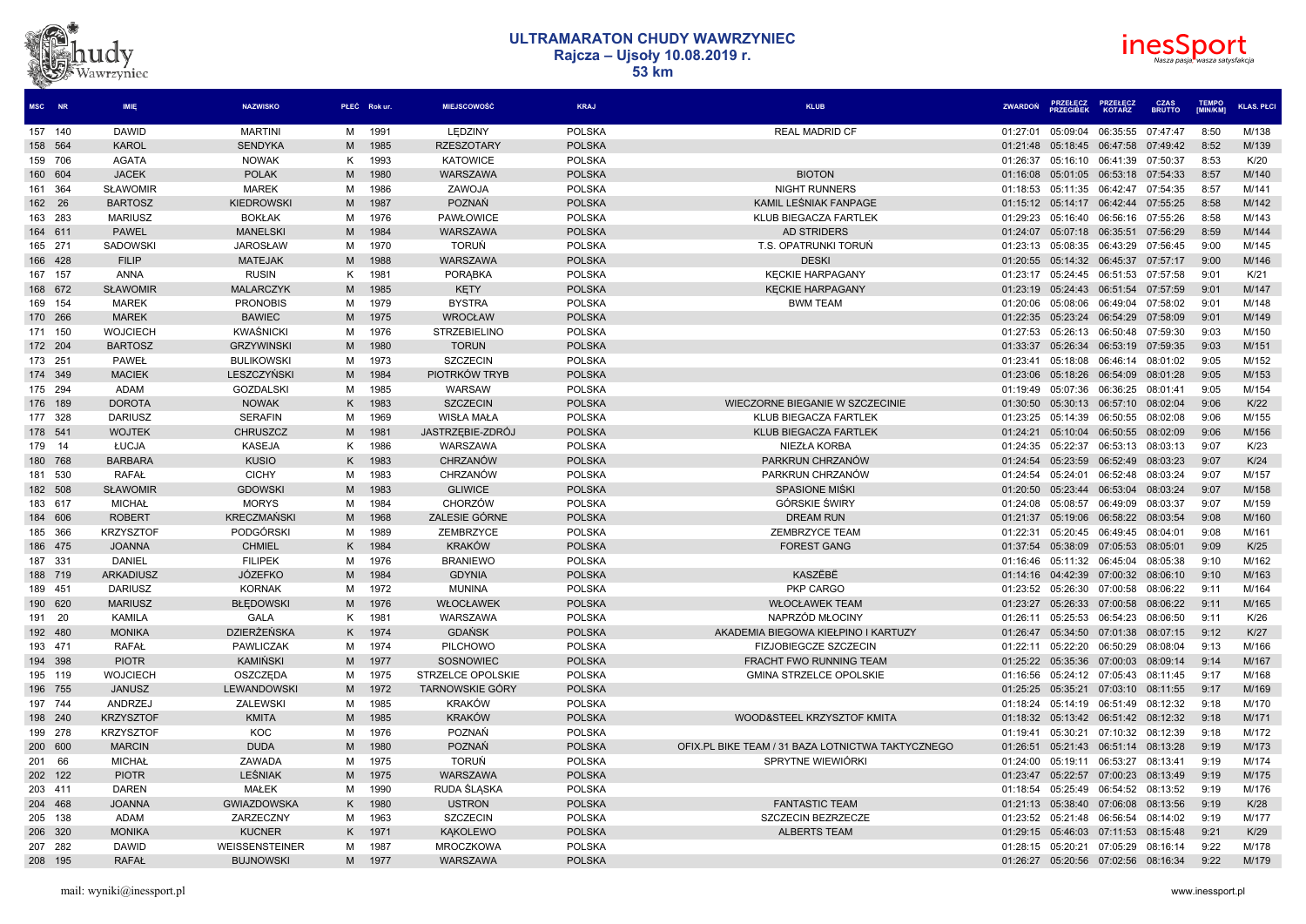



| MSC NR  |     | <b>IMIE</b>      | <b>NAZWISKO</b>    |    | PŁEĆ Rok ur. | <b>MIEJSCOWOŚĆ</b>     | <b>KRAJ</b>   | <b>KLUE</b>                                       | <b>ZWARDOŃ</b> | <b>PRZEŁĘCZ</b><br>PRZEGIBEK | <b>KOTARZ</b>     | <b>CZAS</b><br><b>BRUTTO</b> | <b>EMPO</b><br>[MIN/KM] | <b>KLAS. PŁCI</b> |
|---------|-----|------------------|--------------------|----|--------------|------------------------|---------------|---------------------------------------------------|----------------|------------------------------|-------------------|------------------------------|-------------------------|-------------------|
| 157 140 |     | <b>DAWID</b>     | <b>MARTINI</b>     | M  | 1991         | LEDZINY                | <b>POLSKA</b> | <b>REAL MADRID CF</b>                             | 01:27:01       | 05:09:04                     | 06:35:55 07:47:47 |                              | 8:50                    | M/138             |
| 158 564 |     | <b>KAROL</b>     | <b>SENDYKA</b>     | M  | 1985         | <b>RZESZOTARY</b>      | <b>POLSKA</b> |                                                   | 01:21:48       | 05:18:45                     | 06:47:58          | 07:49:42                     | 8:52                    | M/139             |
| 159 706 |     | <b>AGATA</b>     | <b>NOWAK</b>       | ĸ  | 1993         | <b>KATOWICE</b>        | <b>POLSKA</b> |                                                   | 01:26:37       | 05:16:10                     | 06:41:39          | 07:50:37                     | 8:53                    | K/20              |
| 160 604 |     | <b>JACEK</b>     | <b>POLAK</b>       | M  | 1980         | WARSZAWA               | <b>POLSKA</b> | <b>BIOTON</b>                                     | 01:16:08       | 05:01:05                     | 06:53:18          | 07:54:33                     | 8:57                    | M/140             |
| 161 364 |     | <b>SŁAWOMIR</b>  | <b>MAREK</b>       | M  | 1986         | ZAWOJA                 | <b>POLSKA</b> | <b>NIGHT RUNNERS</b>                              | 01:18:53       | 05:11:35                     | 06:42:47          | 07:54:35                     | 8:57                    | M/141             |
| 162 26  |     | <b>BARTOSZ</b>   | <b>KIEDROWSK</b>   | M  | 1987         | POZNAŃ                 | <b>POLSKA</b> | KAMIL LEŚNIAK FANPAGE                             | 01:15:12       | 05:14:17 06:42:44 07:55:25   |                   |                              | 8:58                    | M/142             |
| 163 283 |     | <b>MARIUSZ</b>   | <b>BOKŁAK</b>      | M  | 1976         | <b>PAWŁOWICE</b>       | <b>POLSKA</b> | <b>KLUB BIEGACZA FARTLEK</b>                      | 01:29:23       | 05:16:40                     | 06:56:16          | 07:55:26                     | 8:58                    | M/143             |
| 164 611 |     | <b>PAWEL</b>     | <b>MANELSKI</b>    | M  | 1984         | WARSZAWA               | <b>POLSKA</b> | <b>AD STRIDERS</b>                                | 01:24:07       | 05:07:18                     | 06:35:51          | 07:56:29                     | 8:59                    | M/144             |
| 165 271 |     | <b>SADOWSKI</b>  | <b>JAROSŁAW</b>    | M  | 1970         | <b>TORUŃ</b>           | <b>POLSKA</b> | T.S. OPATRUNKI TORUŃ                              | 01:23:13       | 05:08:35                     | 06:43:29          | 07:56:45                     | 9:00                    | M/145             |
| 166 428 |     | <b>FILIP</b>     | <b>MATEJAK</b>     | M  | 1988         | WARSZAWA               | <b>POLSKA</b> | <b>DESKI</b>                                      | 01:20:55       | 05:14:32 06:45:37 07:57:17   |                   |                              | 9:00                    | M/146             |
| 167 157 |     | <b>ANNA</b>      | <b>RUSIN</b>       | K  | 1981         | <b>PORABKA</b>         | <b>POLSKA</b> | <b>KECKIE HARPAGANY</b>                           | 01:23:17       | 05:24:45                     | 06:51:53          | 07:57:58                     | 9:01                    | K/21              |
| 168 672 |     | <b>SŁAWOMIR</b>  | <b>MALARCZYK</b>   | M  | 1985         | <b>KETY</b>            | <b>POLSKA</b> | <b>KECKIE HARPAGANY</b>                           | 01:23:19       | 05:24:43                     | 06:51:54          | 07:57:59                     | 9:01                    | M/147             |
| 169 154 |     | <b>MAREK</b>     | <b>PRONOBIS</b>    | M  | 1979         | <b>BYSTRA</b>          | <b>POLSKA</b> | <b>BWM TEAM</b>                                   | 01:20:06       | 05:08:06                     | 06:49:04          | 07:58:02                     | 9:01                    | M/148             |
| 170 266 |     | <b>MAREK</b>     | <b>BAWIEC</b>      | M  | 1975         | <b>WROCŁAW</b>         | <b>POLSKA</b> |                                                   | 01:22:35       | 05:23:24                     | 06:54:29          | 07:58:09                     | 9:01                    | M/149             |
| 171 150 |     | <b>WOJCIECH</b>  | KWAŚNICKI          | M  | 1976         | <b>STRZEBIELINO</b>    | <b>POLSKA</b> |                                                   | 01:27:53       | 05:26:13                     | 06:50:48 07:59:30 |                              | 9:03                    | M/150             |
| 172 204 |     | <b>BARTOSZ</b>   | <b>GRZYWINSKI</b>  | M  | 1980         | <b>TORUN</b>           | <b>POLSKA</b> |                                                   | 01:33:37       | 05:26:34                     | 06:53:19          | 07:59:35                     | 9:03                    | M/151             |
| 173 251 |     | <b>PAWEŁ</b>     | <b>BULIKOWSK</b>   | M  | 1973         | <b>SZCZECIN</b>        | <b>POLSKA</b> |                                                   | 01:23:41       | 05:18:08                     | 06:46:14          | 08:01:02                     | 9:05                    | M/152             |
| 174 349 |     | <b>MACIEK</b>    | LESZCZYŃSKI        | M  | 1984         | PIOTRKÓW TRYB          | <b>POLSKA</b> |                                                   | 01:23:06       | 05:18:26                     | 06:54:09          | 08:01:28                     | 9:05                    | M/153             |
| 175 294 |     | ADAM             | <b>GOZDALSKI</b>   | M  | 1985         | WARSAW                 | <b>POLSKA</b> |                                                   | 01:19:49       | 05:07:36                     | 06:36:25          | 08:01:41                     | 9:05                    | M/154             |
| 176 189 |     | <b>DOROTA</b>    | <b>NOWAK</b>       | K  | 1983         | <b>SZCZECIN</b>        | <b>POLSKA</b> | WIECZORNE BIEGANIE W SZCZECINIE                   | 01:30:50       | 05:30:13 06:57:10 08:02:04   |                   |                              | 9:06                    | K/22              |
| 177 328 |     | <b>DARIUSZ</b>   | <b>SERAFIN</b>     | M  | 1969         | <b>WISŁA MAŁA</b>      | <b>POLSKA</b> | KLUB BIEGACZA FARTLEK                             | 01:23:25       | 05:14:39                     | 06:50:55          | 08:02:08                     | 9:06                    | M/155             |
| 178 541 |     | <b>WOJTEK</b>    | <b>CHRUSZCZ</b>    | M  | 1981         | JASTRZEBIE-ZDRÓJ       | <b>POLSKA</b> | KLUB BIEGACZA FARTLEK                             | 01:24:21       | 05:10:04                     | 06:50:55          | 08:02:09                     | 9:06                    | M/156             |
| 179 14  |     | ŁUCJA            | <b>KASEJA</b>      | K  | 1986         | WARSZAWA               | <b>POLSKA</b> | NIEZŁA KORBA                                      | 01:24:35       | 05:22:37                     | 06:53:13          | 08:03:13                     | 9:07                    | K/23              |
| 180 768 |     | <b>BARBARA</b>   | <b>KUSIO</b>       | K  | 1983         | CHRZANÓW               | <b>POLSKA</b> | PARKRUN CHRZANÓW                                  | 01:24:54       | 05:23:59                     | 06:52:49          | 08:03:23                     | 9:07                    | K/24              |
| 181 530 |     | <b>RAFAŁ</b>     | <b>CICHY</b>       | M  | 1983         | CHRZANÓW               | <b>POLSKA</b> | PARKRUN CHRZANÓW                                  | 01:24:54       | 05:24:01                     | 06:52:48          | 08:03:24                     | 9:07                    | M/157             |
| 182 508 |     | <b>SŁAWOMIR</b>  | <b>GDOWSKI</b>     | M  | 1983         | <b>GLIWICE</b>         | <b>POLSKA</b> | <b>SPASIONE MIŚKI</b>                             | 01:20:50       | 05:23:44                     | 06:53:04          | 08:03:24                     | 9:07                    | M/158             |
| 183 617 |     | <b>MICHAŁ</b>    | <b>MORYS</b>       | M  | 1984         | <b>CHORZÓW</b>         | <b>POLSKA</b> | <b>GÓRSKIE ŚWIRY</b>                              | 01:24:08       | 05:08:57                     | 06:49:09          | 08:03:37                     | 9:07                    | M/159             |
| 184 606 |     | <b>ROBERT</b>    | <b>KRECZMAŃSKI</b> | M  | 1968         | ZALESIE GÓRNE          | <b>POLSKA</b> | <b>DREAM RUN</b>                                  | 01:21:37       | 05:19:06                     | 06:58:22          | 08:03:54                     | 9:08                    | M/160             |
| 185 366 |     | <b>KRZYSZTOF</b> | <b>PODGÓRSKI</b>   | М  | 1989         | ZEMBRZYCE              | <b>POLSKA</b> | <b>ZEMBRZYCE TEAM</b>                             | 01:22:31       | 05:20:45                     | 06:49:45          | 08:04:01                     | 9:08                    | M/161             |
| 186 475 |     | <b>JOANNA</b>    | <b>CHMIEL</b>      | K. | 1984         | <b>KRAKÓW</b>          | <b>POLSKA</b> | <b>FOREST GANG</b>                                | 01:37:54       | 05:38:09 07:05:53 08:05:01   |                   |                              | 9:09                    | K/25              |
| 187 331 |     | <b>DANIEL</b>    | <b>FILIPEK</b>     | M  | 1976         | <b>BRANIEWO</b>        | <b>POLSKA</b> |                                                   | 01:16:46       | 05:11:32                     | 06:45:04          | 08:05:38                     | 9:10                    | M/162             |
| 188 719 |     | <b>ARKADIUSZ</b> | <b>JÓZEFKO</b>     | M  | 1984         | <b>GDYNIA</b>          | <b>POLSKA</b> | KASZËBË                                           | 01:14:16       | 04:42:39 07:00:32            |                   | 08:06:10                     | 9:10                    | M/163             |
| 189 451 |     | <b>DARIUSZ</b>   | <b>KORNAK</b>      | M  | 1972         | <b>MUNINA</b>          | <b>POLSKA</b> | PKP CARGO                                         | 01:23:52       | 05:26:30                     | 07:00:58          | 08:06:22                     | 9:11                    | M/164             |
| 190 620 |     | <b>MARIUSZ</b>   | <b>BŁEDOWSKI</b>   | M  | 1976         | WŁOCŁAWEK              | <b>POLSKA</b> | <b>WŁOCŁAWEK TEAM</b>                             | 01:23:27       | 05:26:33                     | 07:00:58          | 08:06:22                     | 9:11                    | M/165             |
| 191 20  |     | KAMILA           | <b>GALA</b>        | K  | 1981         | WARSZAWA               | <b>POLSKA</b> | NAPRZÓD MŁOCINY                                   | 01:26:11       | 05:25:53                     | 06:54:23          | 08:06:50                     | 9:11                    | K/26              |
| 192 480 |     | <b>MONIKA</b>    | <b>DZIERŻEŃSKA</b> |    | 1974         | <b>GDAŃSK</b>          | <b>POLSKA</b> | AKADEMIA BIEGOWA KIEŁPINO I KARTUZY               | 01:26:47       | 05:34:50                     | 07:01:38          | 08:07:15                     | 9:12                    | K/27              |
| 193 471 |     | RAFAŁ            | <b>PAWLICZAK</b>   | M  | 1974         | PILCHOWO               | <b>POLSKA</b> | FIZJOBIEGCZE SZCZECIN                             | 01:22:11       | 05:22:20                     | 06:50:29          | 08:08:04                     | 9:13                    | M/166             |
| 194 398 |     | <b>PIOTR</b>     | KAMIŃSKI           | M  | 1977         | SOSNOWIEC              | <b>POLSKA</b> | <b>FRACHT FWO RUNNING TEAM</b>                    | 01:25:22       | 05:35:36                     | 07:00:03          | 08:09:14                     | 9:14                    | M/167             |
| 195 119 |     | <b>WOJCIECH</b>  | OSZCZEDA           | м  | 1975         | STRZELCE OPOLSKIE      | <b>POLSKA</b> | <b>GMINA STRZELCE OPOLSKIE</b>                    | 01:16:56       | 05:24:12                     | 07:05:43          | 08:11:45                     | 9:17                    | M/168             |
| 196 755 |     | <b>JANUSZ</b>    | <b>LEWANDOWSK</b>  | M  | 1972         | <b>TARNOWSKIE GÓRY</b> | <b>POLSKA</b> |                                                   | 01:25:25       | 05:35:21                     | 07:03:10 08:11:55 |                              | 9:17                    | M/169             |
| 197 744 |     | <b>ANDRZEJ</b>   | ZALEWSKI           | M  | 1985         | <b>KRAKÓW</b>          | <b>POLSKA</b> |                                                   | 01:18:24       | 05:14:19                     | 06:51:49          | 08:12:32                     | 9:18                    | M/170             |
| 198 240 |     | <b>KRZYSZTOF</b> | <b>KMITA</b>       | M  | 1985         | <b>KRAKÓW</b>          | <b>POLSKA</b> | WOOD&STEEL KRZYSZTOF KMITA                        | 01:18:32       | 05:13:42  06:51:42  08:12:32 |                   |                              | 9:18                    | M/171             |
| 199 278 |     | <b>KRZYSZTOF</b> | KOC                | M  | 1976         | POZNAŃ                 | <b>POLSKA</b> |                                                   | 01:19:41       | 05:30:21                     | 07:10:32 08:12:39 |                              | 9:18                    | M/172             |
| 200 600 |     | <b>MARCIN</b>    | <b>DUDA</b>        | M  | 1980         | POZNAŃ                 | <b>POLSKA</b> | OFIX.PL BIKE TEAM / 31 BAZA LOTNICTWA TAKTYCZNEGO | 01:26:51       | 05:21:43  06:51:14  08:13:28 |                   |                              | 9:19                    | M/173             |
| 201 66  |     | <b>MICHAŁ</b>    | ZAWADA             | м  | 1975         | <b>TORUŃ</b>           | <b>POLSKA</b> | SPRYTNE WIEWIÓRKI                                 | 01:24:00       | 05:19:11 06:53:27            |                   | 08:13:41                     | 9:19                    | M/174             |
| 202 122 |     | <b>PIOTR</b>     | <b>LEŚNIAK</b>     | M  | 1975         | WARSZAWA               | <b>POLSKA</b> |                                                   | 01:23:47       | 05:22:57                     | 07:00:23          | 08:13:49                     | 9:19                    | M/175             |
| 203 411 |     | <b>DAREN</b>     | <b>MAŁEK</b>       | M  | 1990         | RUDA ŚLĄSKA            | <b>POLSKA</b> |                                                   | 01:18:54       | 05:25:49                     | 06:54:52 08:13:52 |                              | 9:19                    | M/176             |
| 204 468 |     | <b>JOANNA</b>    | <b>GWIAZDOWSKA</b> | K  | 1980         | <b>USTRON</b>          | <b>POLSKA</b> | <b>FANTASTIC TEAM</b>                             | 01:21:13       | 05:38:40 07:06:08 08:13:56   |                   |                              | 9:19                    | K/28              |
| 205 138 |     | ADAM             | ZARZECZNY          | M  | 1963         | <b>SZCZECIN</b>        | <b>POLSKA</b> | <b>SZCZECIN BEZRZECZE</b>                         | 01:23:52       | 05:21:48                     | 06:56:54          | 08:14:02                     | 9:19                    | M/177             |
| 206 320 |     | <b>MONIKA</b>    | <b>KUCNER</b>      | ĸ  | 1971         | <b>KAKOLEWO</b>        | <b>POLSKA</b> | <b>ALBERTS TEAM</b>                               | 01:29:15       | 05:46:03                     | 07:11:53          | 08:15:48                     | 9:21                    | K/29              |
| 207 282 |     | <b>DAWID</b>     | WEISSENSTEINER     | м  | 1987         | MROCZKOWA              | <b>POLSKA</b> |                                                   | 01:28:15       | 05:20:21                     | 07:05:29          | 08:16:14                     | 9:22                    | M/178             |
| 208     | 195 | <b>RAFAŁ</b>     | <b>BUJNOWSKI</b>   | M  | 1977         | WARSZAWA               | <b>POLSKA</b> |                                                   | 01:26:27       | 05:20:56 07:02:56            |                   | 08:16:34                     | 9:22                    | M/179             |
|         |     |                  |                    |    |              |                        |               |                                                   |                |                              |                   |                              |                         |                   |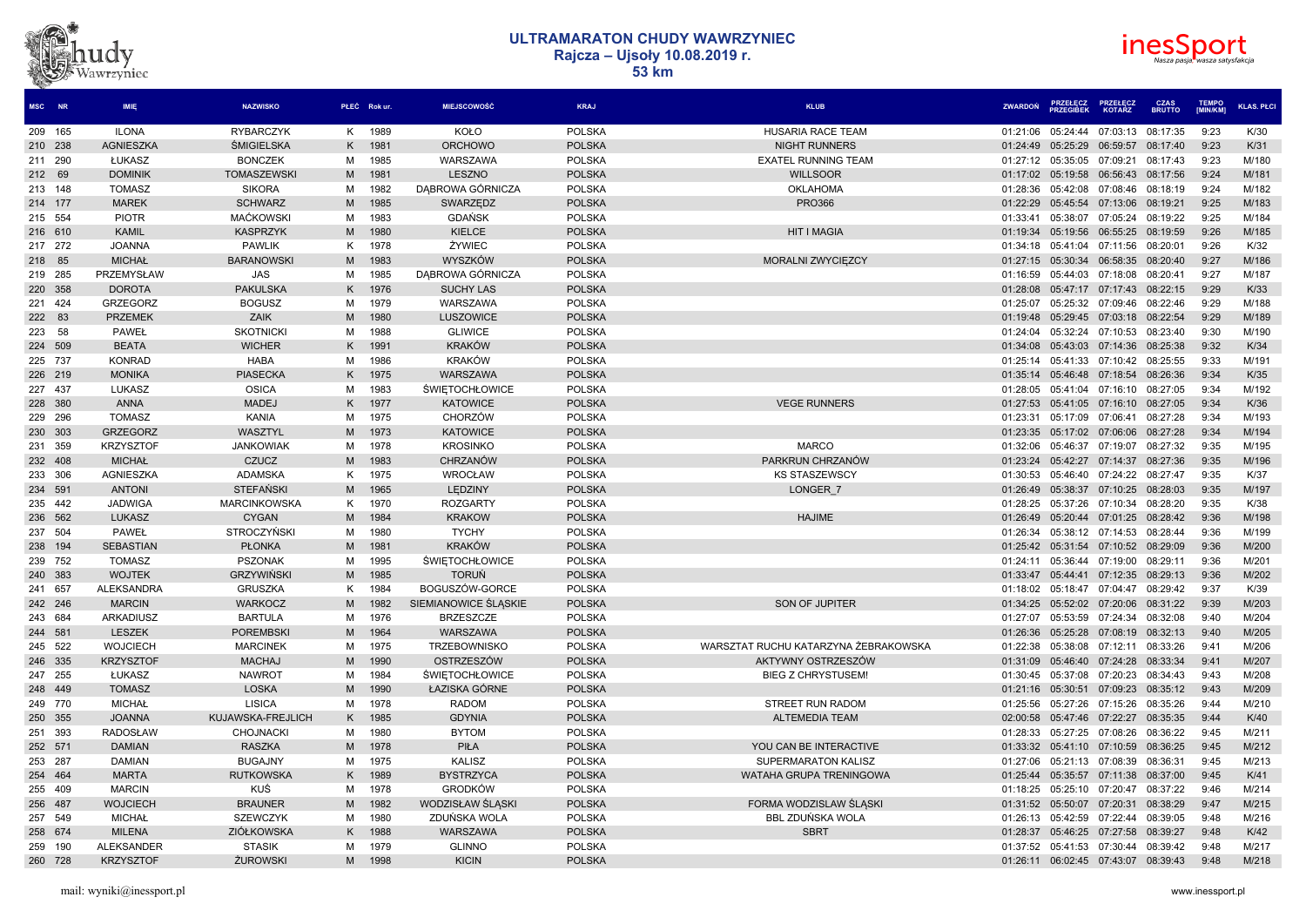



| MSC NR  | IMIE              | <b>NAZWISKO</b>     |    | PŁEĆ Rokur. | MIEJSCOWOŚĆ           | <b>KRAJ</b>   | <b>KLUB</b>                          | <b>ZWARDON</b> | <b>PRZEGIREK</b>                       | <b>KOTARZ</b> | <b>BRUTTO</b> | <b>IMIN/KM1</b> | <b>KLAS, PŁCI</b> |
|---------|-------------------|---------------------|----|-------------|-----------------------|---------------|--------------------------------------|----------------|----------------------------------------|---------------|---------------|-----------------|-------------------|
| 209 165 | <b>ILONA</b>      | <b>RYBARCZYK</b>    | K  | 1989        | KOŁO                  | <b>POLSKA</b> | <b>HUSARIA RACE TEAM</b>             | 01:21:06       | 05:24:44                               | 07:03:13      | 08:17:35      | 9:23            | K/30              |
| 210 238 | <b>AGNIESZKA</b>  | <b>SMIGIELSKA</b>   | K  | 1981        | <b>ORCHOWO</b>        | <b>POLSKA</b> | <b>NIGHT RUNNERS</b>                 | 01:24:49       | 05:25:29                               | 06:59:57      | 08:17:40      | 9:23            | K/31              |
| 211 290 | ŁUKASZ            | <b>BONCZEK</b>      | М  | 1985        | WARSZAWA              | <b>POLSKA</b> | <b>EXATEL RUNNING TEAM</b>           |                | 01:27:12 05:35:05 07:09:21             |               | 08:17:43      | 9:23            | M/180             |
| 212 69  | <b>DOMINIK</b>    | <b>TOMASZEWSKI</b>  | M  | 1981        | <b>LESZNO</b>         | <b>POLSKA</b> | <b>WILLSOOR</b>                      |                | 01:17:02 05:19:58                      | 06:56:43      | 08:17:56      | 9:24            | M/181             |
| 213 148 | <b>TOMASZ</b>     | <b>SIKORA</b>       | М  | 1982        | DABROWA GÓRNICZA      | <b>POLSKA</b> | OKLAHOMA                             | 01:28:36       | 05:42:08                               | 07:08:46      | 08:18:19      | 9:24            | M/182             |
| 214 177 | <b>MAREK</b>      | <b>SCHWARZ</b>      | M  | 1985        | SWARZEDZ              | <b>POLSKA</b> | <b>PRO366</b>                        | 01:22:29       | 05:45:54                               | 07:13:06      | 08:19:21      | 9:25            | M/183             |
| 215 554 | <b>PIOTR</b>      | <b>MACKOWSKI</b>    | м  | 1983        | <b>GDAŃSK</b>         | <b>POLSKA</b> |                                      | 01:33:41       | 05:38:07                               | 07:05:24      | 08:19:22      | 9:25            | M/184             |
| 216 610 | <b>KAMIL</b>      | <b>KASPRZYK</b>     | M  | 1980        | KIELCE                | <b>POLSKA</b> | <b>HIT I MAGIA</b>                   |                | 01:19:34 05:19:56                      | 06:55:25      | 08:19:59      | 9:26            | M/185             |
| 217 272 | <b>JOANNA</b>     | <b>PAWLIK</b>       | K  | 1978        | ŻYWIEC                | <b>POLSKA</b> |                                      | 01:34:18       | 05:41:04                               | 07:11:56      | 08:20:01      | 9:26            | K/32              |
| 218 85  | <b>MICHAŁ</b>     | <b>BARANOWSKI</b>   | M  | 1983        | WYSZKÓW               | <b>POLSKA</b> | MORALNI ZWYCIEZCY                    |                | 01:27:15 05:30:34 06:58:35 08:20:40    |               |               | 9:27            | M/186             |
| 219 285 | PRZEMYSŁAW        | <b>JAS</b>          | м  | 1985        | DABROWA GÓRNICZA      | <b>POLSKA</b> |                                      | 01:16:59       | 05:44:03                               | 07:18:08      | 08:20:41      | 9:27            | M/187             |
| 220 358 | <b>DOROTA</b>     | <b>PAKULSKA</b>     | Κ  | 1976        | <b>SUCHY LAS</b>      | <b>POLSKA</b> |                                      | 01:28:08       | 05:47:17                               | 07:17:43      | 08:22:15      | 9:29            | K/33              |
| 221 424 | <b>GRZEGORZ</b>   | <b>BOGUSZ</b>       | M  | 1979        | WARSZAWA              | <b>POLSKA</b> |                                      | 01:25:07       | 05:25:32 07:09:46                      |               | 08:22:46      | 9:29            | M/188             |
| 222 83  | <b>PRZEMEK</b>    | ZAIK                | M  | 1980        | LUSZOWICE             | <b>POLSKA</b> |                                      |                | 01:19:48  05:29:45  07:03:18           |               | 08:22:54      | 9:29            | M/189             |
| 223 58  | <b>PAWEŁ</b>      | <b>SKOTNICKI</b>    | М  | 1988        | <b>GLIWICE</b>        | <b>POLSKA</b> |                                      | 01:24:04       | 05:32:24                               | 07:10:53      | 08:23:40      | 9:30            | M/190             |
| 224 509 | <b>BEATA</b>      | <b>WICHER</b>       | K  | 1991        | <b>KRAKÓW</b>         | <b>POLSKA</b> |                                      | 01:34:08       | 05:43:03                               | 07:14:36      | 08:25:38      | 9:32            | K/34              |
| 225 737 | <b>KONRAD</b>     | <b>HABA</b>         | М  | 1986        | <b>KRAKÓW</b>         | <b>POLSKA</b> |                                      |                | 01:25:14 05:41:33 07:10:42             |               | 08:25:55      | 9:33            | M/191             |
| 226 219 | <b>MONIKA</b>     | <b>PIASECKA</b>     | K  | 1975        | WARSZAWA              | <b>POLSKA</b> |                                      |                | 01:35:14 05:46:48 07:18:54             |               | 08:26:36      | 9:34            | K/35              |
| 227 437 | LUKASZ            | <b>OSICA</b>        | м  | 1983        | <b>ŚWIETOCHŁOWICE</b> | <b>POLSKA</b> |                                      | 01:28:05       | 05:41:04                               | 07:16:10      | 08:27:05      | 9:34            | M/192             |
| 228 380 | <b>ANNA</b>       | <b>MADEJ</b>        | Κ  | 1977        | <b>KATOWICE</b>       | <b>POLSKA</b> | <b>VEGE RUNNERS</b>                  |                | 01:27:53  05:41:05  07:16:10  08:27:05 |               |               | 9:34            | K/36              |
| 229 296 | <b>TOMASZ</b>     | KANIA               | м  | 1975        | <b>CHORZÓW</b>        | <b>POLSKA</b> |                                      | 01:23:31       | 05:17:09                               | 07:06:41      | 08:27:28      | 9:34            | M/193             |
| 230 303 | <b>GRZEGORZ</b>   | WASZTYL             | M  | 1973        | <b>KATOWICE</b>       | <b>POLSKA</b> |                                      | 01:23:35       | 05:17:02                               | 07:06:06      | 08:27:28      | 9:34            | M/194             |
| 231 359 | <b>KRZYSZTOF</b>  | <b>JANKOWIAK</b>    | M  | 1978        | <b>KROSINKO</b>       | <b>POLSKA</b> | <b>MARCO</b>                         | 01:32:06       | 05:46:37                               | 07:19:07      | 08:27:32      | 9:35            | M/195             |
| 232 408 | <b>MICHAŁ</b>     | <b>CZUCZ</b>        | M  | 1983        | CHRZANÓW              | <b>POLSKA</b> | PARKRUN CHRZANÓW                     |                | 01:23:24 05:42:27                      | 07:14:37      | 08:27:36      | 9:35            | M/196             |
| 233 306 | AGNIESZKA         | <b>ADAMSKA</b>      | K  | 1975        | WROCŁAW               | <b>POLSKA</b> | <b>KS STASZEWSCY</b>                 | 01:30:53       | 05:46:40 07:24:22 08:27:47             |               |               | 9:35            | K/37              |
| 234 591 | <b>ANTONI</b>     | <b>STEFAŃSKI</b>    | M  | 1965        | LEDZINY               | <b>POLSKA</b> | LONGER 7                             | 01:26:49       | 05:38:37                               | 07:10:25      | 08:28:03      | 9:35            | M/197             |
| 235 442 | <b>JADWIGA</b>    | <b>MARCINKOWSKA</b> | K  | 1970        | <b>ROZGARTY</b>       | <b>POLSKA</b> |                                      | 01:28:25       | 05:37:26 07:10:34                      |               | 08:28:20      | 9:35            | K/38              |
| 236 562 | <b>LUKASZ</b>     | <b>CYGAN</b>        | M  | 1984        | <b>KRAKOW</b>         | <b>POLSKA</b> | <b>HAJIME</b>                        |                | 01:26:49  05:20:44  07:01:25           |               | 08:28:42      | 9:36            | M/198             |
| 237 504 | PAWEŁ             | <b>STROCZYŃSK</b>   | м  | 1980        | <b>TYCHY</b>          | <b>POLSKA</b> |                                      | 01:26:34       | 05:38:12 07:14:53                      |               | 08:28:44      | 9:36            | M/199             |
| 238 194 | <b>SEBASTIAN</b>  | <b>PŁONKA</b>       | M  | 1981        | <b>KRAKÓW</b>         | <b>POLSKA</b> |                                      |                | 01:25:42  05:31:54  07:10:52  08:29:09 |               |               | 9:36            | M/200             |
| 239 752 | <b>TOMASZ</b>     | <b>PSZONAK</b>      | м  | 1995        | <b>ŚWIĘTOCHŁOWICE</b> | <b>POLSKA</b> |                                      | 01:24:11       | 05:36:44 07:19:00                      |               | 08:29:11      | 9:36            | M/201             |
| 240 383 | <b>WOJTEK</b>     | <b>GRZYWIŃSKI</b>   | M  | 1985        | <b>TORUŃ</b>          | <b>POLSKA</b> |                                      | 01:33:47       | 05:44:41                               | 07:12:35      | 08:29:13      | 9:36            | M/202             |
| 241 657 | <b>ALEKSANDRA</b> | <b>GRUSZKA</b>      | K  | 1984        | BOGUSZÓW-GORCE        | <b>POLSKA</b> |                                      | 01:18:02       | 05:18:47                               | 07:04:47      | 08:29:42      | 9:37            | K/39              |
| 242 246 | <b>MARCIN</b>     | <b>WARKOCZ</b>      | M  | 1982        | SIEMIANOWICE ŚLASKIE  | <b>POLSKA</b> | SON OF JUPITER                       |                | 01:34:25  05:52:02  07:20:06           |               | 08:31:22      | 9:39            | M/203             |
| 243 684 | <b>ARKADIUSZ</b>  | <b>BARTULA</b>      | М  | 1976        | <b>BRZESZCZE</b>      | <b>POLSKA</b> |                                      | 01:27:07       | 05:53:59 07:24:34                      |               | 08:32:08      | 9:40            | M/204             |
| 244 581 | <b>LESZEK</b>     | <b>POREMBSKI</b>    | M  | 1964        | <b>WARSZAWA</b>       | <b>POLSKA</b> |                                      | 01:26:36       | 05:25:28                               | 07:08:19      | 08:32:13      | 9:40            | M/205             |
| 245 522 | <b>WOJCIECH</b>   | <b>MARCINEK</b>     | M  | 1975        | <b>TRZEBOWNISKO</b>   | <b>POLSKA</b> | WARSZTAT RUCHU KATARZYNA ŻEBRAKOWSKA | 01:22:38       | 05:38:08                               | 07:12:11      | 08:33:26      | 9:41            | M/206             |
| 246 335 | <b>KRZYSZTOF</b>  | <b>MACHAJ</b>       | M  | 1990        | OSTRZESZÓW            | <b>POLSKA</b> | AKTYWNY OSTRZESZÓW                   | 01:31:09       | 05:46:40 07:24:28                      |               | 08:33:34      | 9:41            | M/207             |
| 247 255 | ŁUKASZ            | <b>NAWROT</b>       | м  | 1984        | <b>ŚWIETOCHŁOWICE</b> | <b>POLSKA</b> | <b>BIEG Z CHRYSTUSEM!</b>            | 01:30:45       | 05:37:08 07:20:23                      |               | 08:34:43      | 9:43            | M/208             |
| 248 449 | <b>TOMASZ</b>     | <b>LOSKA</b>        | M  | 1990        | ŁAZISKA GÓRNE         | <b>POLSKA</b> |                                      |                | 01:21:16 05:30:51 07:09:23 08:35:12    |               |               | 9:43            | M/209             |
| 249 770 | <b>MICHAŁ</b>     | <b>LISICA</b>       | м  | 1978        | <b>RADOM</b>          | <b>POLSKA</b> | <b>STREET RUN RADOM</b>              | 01:25:56       | 05:27:26                               | 07:15:26      | 08:35:26      | 9:44            | M/210             |
| 250 355 | <b>JOANNA</b>     | KUJAWSKA-FREJLICH   | K. | 1985        | <b>GDYNIA</b>         | <b>POLSKA</b> | <b>ALTEMEDIA TEAM</b>                | 02:00:58       | 05:47:46 07:22:27                      |               | 08:35:35      | 9:44            | K/40              |
| 251 393 | <b>RADOSŁAW</b>   | <b>CHOJNACK</b>     | М  | 1980        | <b>BYTOM</b>          | <b>POLSKA</b> |                                      | 01:28:33       | 05:27:25 07:08:26                      |               | 08:36:22      | 9:45            | M/211             |
| 252 571 | <b>DAMIAN</b>     | <b>RASZKA</b>       | M  | 1978        | PIŁA                  | <b>POLSKA</b> | YOU CAN BE INTERACTIVE               |                | 01:33:32  05:41:10  07:10:59           |               | 08:36:25      | 9:45            | M/212             |
| 253 287 | <b>DAMIAN</b>     | <b>BUGAJNY</b>      | М  | 1975        | <b>KALISZ</b>         | <b>POLSKA</b> | SUPERMARATON KALISZ                  | 01:27:06       | 05:21:13 07:08:39                      |               | 08:36:31      | 9:45            | M/213             |
| 254 464 | <b>MARTA</b>      | <b>RUTKOWSKA</b>    | K  | 1989        | <b>BYSTRZYCA</b>      | <b>POLSKA</b> | WATAHA GRUPA TRENINGOWA              | 01:25:44       | 05:35:57                               | 07:11:38      | 08:37:00      | 9:45            | K/41              |
| 255 409 | <b>MARCIN</b>     | KUŚ                 | м  | 1978        | <b>GRODKÓW</b>        | <b>POLSKA</b> |                                      | 01:18:25       | 05:25:10 07:20:47                      |               | 08:37:22      | 9:46            | M/214             |
| 256 487 | <b>WOJCIECH</b>   | <b>BRAUNER</b>      | M  | 1982        | WODZISŁAW ŚLĄSKI      | <b>POLSKA</b> | FORMA WODZISLAW ŚLĄSKI               |                | 01:31:52 05:50:07                      | 07:20:31      | 08:38:29      | 9:47            | M/215             |
| 257 549 | <b>MICHAŁ</b>     | <b>SZEWCZYK</b>     | м  | 1980        | ZDUŃSKA WOLA          | <b>POLSKA</b> | <b>BBL ZDUŃSKA WOLA</b>              | 01:26:13       | 05:42:59                               | 07:22:44      | 08:39:05      | 9:48            | M/216             |
| 258 674 | <b>MILENA</b>     | ZIÓŁKOWSKA          | Κ  | 1988        | WARSZAWA              | <b>POLSKA</b> | <b>SBRT</b>                          |                | 01:28:37  05:46:25  07:27:58  08:39:27 |               |               | 9:48            | K/42              |
| 259 190 | <b>ALEKSANDER</b> | <b>STASIK</b>       | м  | 1979        | <b>GLINNO</b>         | <b>POLSKA</b> |                                      |                | 01:37:52 05:41:53 07:30:44             |               | 08:39:42      | 9:48            | M/217             |
| 260 728 | <b>KRZYSZTOF</b>  | <b>ŻUROWSKI</b>     | M  | 1998        | <b>KICIN</b>          | <b>POLSKA</b> |                                      |                | 01:26:11 06:02:45 07:43:07             |               | 08:39:43      | 9:48            | M/218             |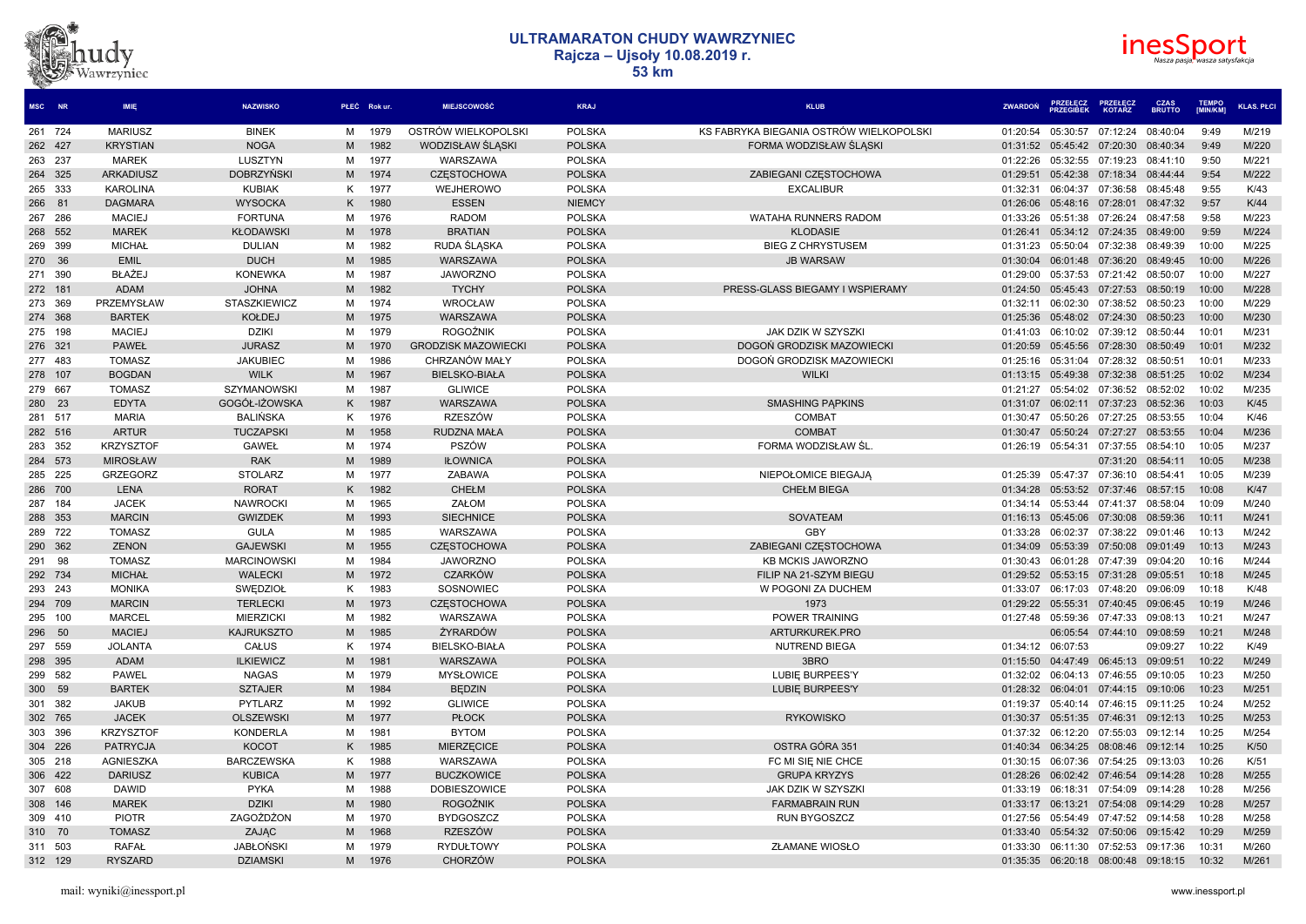# dvz Vawrzyniec



| MSC NR  |     | <b>IMIE</b>      | <b>NAZWISKO</b>     |   | PŁEĆ Rokur. | <b>MIEJSCOWOŚĆ</b>         | <b>KRAJ</b>   | <b>KLUB</b>                             | <b>ZWARDON</b>    | <b>PRZEŁĘCZ</b><br><b>PRZEGIBEK</b> | <b>PRZEŁECZ</b><br><b>KOTARZ</b>       | <b>CZAS</b><br><b>BRUTTO</b> | <b>TEMPO</b><br>[MIN/KM] | <b>KLAS, PŁCI</b> |
|---------|-----|------------------|---------------------|---|-------------|----------------------------|---------------|-----------------------------------------|-------------------|-------------------------------------|----------------------------------------|------------------------------|--------------------------|-------------------|
| 261 724 |     | <b>MARIUSZ</b>   | <b>BINEK</b>        | M | 1979        | OSTRÓW WIELKOPOLSKI        | <b>POLSKA</b> | KS FABRYKA BIEGANIA OSTRÓW WIELKOPOLSKI | 01:20:54          |                                     | 05:30:57 07:12:24                      | 08:40:04                     | 9:49                     | M/219             |
| 262 427 |     | <b>KRYSTIAN</b>  | <b>NOGA</b>         | M | 1982        | WODZISŁAW ŚLASKI           | <b>POLSKA</b> | FORMA WODZISŁAW ŚLĄSKI                  |                   |                                     | 01:31:52 05:45:42 07:20:30             | 08:40:34                     | 9:49                     | M/220             |
| 263 237 |     | <b>MAREK</b>     | LUSZTYN             | M | 1977        | WARSZAWA                   | <b>POLSKA</b> |                                         | 01:22:26          | 05:32:55                            | 07:19:23                               | 08:41:10                     | 9:50                     | M/221             |
| 264 325 |     | ARKADIUSZ        | <b>DOBRZYŃSKI</b>   | M | 1974        | <b>CZESTOCHOWA</b>         | <b>POLSKA</b> | ZABIEGANI CZESTOCHOWA                   | 01:29:51          |                                     | 05:42:38 07:18:34                      | 08:44:44                     | 9:54                     | M/222             |
| 265 333 |     | <b>KAROLINA</b>  | <b>KUBIAK</b>       | ĸ | 1977        | WEJHEROWO                  | <b>POLSKA</b> | <b>EXCALIBUR</b>                        | 01:32:31          | 06:04:37                            | 07:36:58                               | 08:45:48                     | 9:55                     | K/43              |
| 266 81  |     | <b>DAGMARA</b>   | <b>WYSOCKA</b>      | K | 1980        | <b>ESSEN</b>               | <b>NIEMCY</b> |                                         | 01:26:06          | 05:48:16                            | 07:28:01                               | 08:47:32                     | 9:57                     | K/44              |
| 267 286 |     | <b>MACIEJ</b>    | <b>FORTUNA</b>      | м | 1976        | <b>RADOM</b>               | <b>POLSKA</b> | <b>WATAHA RUNNERS RADOM</b>             | 01:33:26          | 05:51:38                            | 07:26:24                               | 08:47:58                     | 9:58                     | M/223             |
| 268 552 |     | <b>MAREK</b>     | <b>KŁODAWSKI</b>    | M | 1978        | <b>BRATIAN</b>             | <b>POLSKA</b> | <b>KLODASIE</b>                         | 01:26:41          |                                     | 05:34:12 07:24:35                      | 08:49:00                     | 9:59                     | M/224             |
| 269 399 |     | <b>MICHAŁ</b>    | <b>DULIAN</b>       | м | 1982        | RUDA SLASKA                | <b>POLSKA</b> | <b>BIEG Z CHRYSTUSEM</b>                | 01:31:23          | 05:50:04                            | 07:32:38                               | 08:49:39                     | 10:00                    | M/225             |
| 270 36  |     | <b>EMIL</b>      | <b>DUCH</b>         | M | 1985        | WARSZAWA                   | <b>POLSKA</b> | <b>JB WARSAW</b>                        | 01:30:04          | 06:01:48                            | 07:36:20                               | 08:49:45                     | 10:00                    | M/226             |
| 271 390 |     | BŁAŻEJ           | <b>KONEWKA</b>      | M | 1987        | <b>JAWORZNO</b>            | <b>POLSKA</b> |                                         | 01:29:00          | 05:37:53                            | 07:21:42                               | 08:50:07                     | 10:00                    | M/227             |
| 272 181 |     | <b>ADAM</b>      | <b>JOHNA</b>        | M | 1982        | <b>TYCHY</b>               | <b>POLSKA</b> | PRESS-GLASS BIEGAMY I WSPIERAMY         |                   |                                     | 01:24:50 05:45:43 07:27:53 08:50:19    |                              | 10:00                    | M/228             |
| 273 369 |     | PRZEMYSŁAW       | <b>STASZKIEWICZ</b> | M | 1974        | <b>WROCŁAW</b>             | <b>POLSKA</b> |                                         | 01:32:11          | 06:02:30                            | 07:38:52                               | 08:50:23                     | 10:00                    | M/229             |
| 274 368 |     | <b>BARTEK</b>    | <b>KOŁDEJ</b>       | M | 1975        | WARSZAWA                   | <b>POLSKA</b> |                                         | 01:25:36          |                                     | 05:48:02 07:24:30 08:50:23             |                              | 10:00                    | M/230             |
| 275 198 |     | <b>MACIEJ</b>    | <b>DZIKI</b>        | M | 1979        | <b>ROGOŹNIK</b>            | <b>POLSKA</b> | JAK DZIK W SZYSZKI                      | 01:41:03          |                                     | 06:10:02 07:39:12 08:50:44             |                              | 10:01                    | M/231             |
| 276 321 |     | <b>PAWEŁ</b>     | <b>JURASZ</b>       | M | 1970        | <b>GRODZISK MAZOWIECKI</b> | <b>POLSKA</b> | DOGON GRODZISK MAZOWIECKI               | 01:20:59          |                                     | 05:45:56 07:28:30                      | 08:50:49                     | 10:01                    | M/232             |
| 277 483 |     | <b>TOMASZ</b>    | <b>JAKUBIEC</b>     | м | 1986        | CHRZANÓW MAŁY              | <b>POLSKA</b> | DOGOŃ GRODZISK MAZOWIECKI               | 01:25:16          |                                     | 05:31:04 07:28:32 08:50:51             |                              | 10:01                    | M/233             |
| 278     | 107 | <b>BOGDAN</b>    | <b>WILK</b>         | M | 1967        | <b>BIELSKO-BIAŁA</b>       | <b>POLSKA</b> | <b>WILKI</b>                            | 01:13:15          | 05:49:38                            | 07:32:38                               | 08:51:25                     | 10:02                    | M/234             |
| 279 667 |     | <b>TOMASZ</b>    | SZYMANOWSKI         | м | 1987        | <b>GLIWICE</b>             | <b>POLSKA</b> |                                         | 01:21:27          |                                     | 05:54:02 07:36:52 08:52:02             |                              | 10:02                    | M/235             |
| 280 23  |     | <b>EDYTA</b>     | GOGÓŁ-IŻOWSKA       | K | 1987        | WARSZAWA                   | <b>POLSKA</b> | <b>SMASHING PAPKINS</b>                 | 01:31:07          |                                     | 06:02:11 07:37:23 08:52:36             |                              | 10:03                    | K/45              |
| 281 517 |     | <b>MARIA</b>     | <b>BALINSKA</b>     | K | 1976        | RZESZÓW                    | <b>POLSKA</b> | <b>COMBAT</b>                           | 01:30:47          | 05:50:26                            | 07:27:25                               | 08:53:55                     | 10:04                    | K/46              |
| 282 516 |     | <b>ARTUR</b>     | <b>TUCZAPSKI</b>    | M | 1958        | <b>RUDZNA MAŁA</b>         | <b>POLSKA</b> | <b>COMBAT</b>                           | 01:30:47          |                                     | 05:50:24 07:27:27                      | 08:53:55                     | 10:04                    | M/236             |
| 283 352 |     | <b>KRZYSZTOF</b> | <b>GAWEŁ</b>        | M | 1974        | PSZÓW                      | <b>POLSKA</b> | FORMA WODZISŁAW ŚL                      | 01:26:19          | 05:54:31                            | 07:37:55                               | 08:54:10                     | 10:05                    | M/237             |
| 284 573 |     | <b>MIROSŁAW</b>  | <b>RAK</b>          | M | 1989        | <b>IŁOWNICA</b>            | <b>POLSKA</b> |                                         |                   |                                     | 07:31:20                               | 08:54:11                     | 10:05                    | M/238             |
| 285 225 |     | <b>GRZEGORZ</b>  | <b>STOLARZ</b>      | м | 1977        | ZABAWA                     | <b>POLSKA</b> | NIEPOŁOMICE BIEGAJA                     | 01:25:39          |                                     | 05:47:37 07:36:10                      | 08:54:41                     | 10:05                    | M/239             |
| 286 700 |     | <b>LENA</b>      | <b>RORAT</b>        | K | 1982        | <b>CHEŁM</b>               | <b>POLSKA</b> | <b>CHEŁM BIEGA</b>                      |                   |                                     | 01:34:28  05:53:52  07:37:46  08:57:15 |                              | 10:08                    | K/47              |
| 287 184 |     | <b>JACEK</b>     | <b>NAWROCKI</b>     | M | 1965        | ZAŁOM                      | <b>POLSKA</b> |                                         | 01:34:14          | 05:53:44                            | 07:41:37                               | 08:58:04                     | 10:09                    | M/240             |
| 288 353 |     | <b>MARCIN</b>    | <b>GWIZDEK</b>      | M | 1993        | <b>SIECHNICE</b>           | <b>POLSKA</b> | <b>SOVATEAM</b>                         | 01:16:13          | 05:45:06                            | 07:30:08                               | 08:59:36                     | 10:11                    | M/241             |
| 289 722 |     | <b>TOMASZ</b>    | <b>GULA</b>         | M | 1985        | WARSZAWA                   | <b>POLSKA</b> | GBY                                     | 01:33:28          | 06:02:37                            | 07:38:22                               | 09:01:46                     | 10:13                    | M/242             |
| 290 362 |     | <b>ZENON</b>     | <b>GAJEWSKI</b>     | M | 1955        | <b>CZESTOCHOWA</b>         | <b>POLSKA</b> | ZABIEGANI CZESTOCHOWA                   | 01:34:09          | 05:53:39                            | 07:50:08                               | 09:01:49                     | 10:13                    | M/243             |
| 291 98  |     | <b>TOMASZ</b>    | <b>MARCINOWSK</b>   | M | 1984        | <b>JAWORZNO</b>            | <b>POLSKA</b> | <b>KB MCKIS JAWORZNO</b>                | 01:30:43          | 06:01:28                            | 07:47:39                               | 09:04:20                     | 10:16                    | M/244             |
| 292 734 |     | <b>MICHAŁ</b>    | <b>WALECKI</b>      | M | 1972        | <b>CZARKÓW</b>             | <b>POLSKA</b> | FILIP NA 21-SZYM BIEGU                  | 01:29:52          |                                     | 05:53:15 07:31:28                      | 09:05:51                     | 10:18                    | M/245             |
| 293 243 |     | <b>MONIKA</b>    | SWEDZIOŁ            | ĸ | 1983        | SOSNOWIEC                  | <b>POLSKA</b> | W POGONI ZA DUCHEM                      | 01:33:07          | 06:17:03                            | 07:48:20                               | 09:06:09                     | 10:18                    | K/48              |
| 294 709 |     | <b>MARCIN</b>    | <b>TERLECKI</b>     | M | 1973        | <b>CZESTOCHOWA</b>         | <b>POLSKA</b> | 1973                                    |                   |                                     | 01:29:22 05:55:31 07:40:45             | 09:06:45                     | 10:19                    | M/246             |
| 295 100 |     | <b>MARCEL</b>    | <b>MIERZICKI</b>    | м | 1982        | WARSZAWA                   | <b>POLSKA</b> | POWER TRAINING                          | 01:27:48          | 05:59:36                            | 07:47:33                               | 09:08:13                     | 10:21                    | M/247             |
| 296     | -50 | <b>MACIEJ</b>    | <b>KAJRUKSZTO</b>   | M | 1985        | ŻYRARDÓW                   | <b>POLSKA</b> | ARTURKUREK.PRO                          |                   |                                     | 06:05:54 07:44:10 09:08:59             |                              | 10:21                    | M/248             |
| 297 559 |     | <b>JOLANTA</b>   | CAŁUS               | K | 1974        | <b>BIELSKO-BIAŁA</b>       | <b>POLSKA</b> | NUTREND BIEGA                           | 01:34:12 06:07:53 |                                     |                                        | 09:09:27                     | 10:22                    | K/49              |
| 298 395 |     | <b>ADAM</b>      | <b>ILKIEWICZ</b>    | M | 1981        | WARSZAWA                   | <b>POLSKA</b> | 3BRO                                    | 01:15:50          |                                     | 04:47:49 06:45:13 09:09:51             |                              | 10:22                    | M/249             |
| 299 582 |     | <b>PAWEL</b>     | <b>NAGAS</b>        | м | 1979        | <b>MYSŁOWICE</b>           | <b>POLSKA</b> | LUBIE BURPEES'Y                         | 01:32:02          |                                     | 06:04:13 07:46:55                      | 09:10:05                     | 10:23                    | M/250             |
| 300 59  |     | <b>BARTEK</b>    | <b>SZTAJER</b>      | M | 1984        | <b>BEDZIN</b>              | <b>POLSKA</b> | <b>LUBIE BURPEES'Y</b>                  |                   |                                     | 01:28:32  06:04:01  07:44:15  09:10:06 |                              | 10:23                    | M/251             |
| 301 382 |     | <b>JAKUB</b>     | PYTLARZ             | м | 1992        | <b>GLIWICE</b>             | <b>POLSKA</b> |                                         | 01:19:37          |                                     | 05:40:14 07:46:15                      | 09:11:25                     | 10:24                    | M/252             |
| 302 765 |     | <b>JACEK</b>     | <b>OLSZEWSKI</b>    | M | 1977        | <b>PŁOCK</b>               | <b>POLSKA</b> | <b>RYKOWISKO</b>                        | 01:30:37          | 05:51:35                            | 07:46:31                               | 09:12:13                     | 10:25                    | M/253             |
| 303 396 |     | <b>KRZYSZTOF</b> | <b>KONDERLA</b>     | M | 1981        | <b>BYTOM</b>               | <b>POLSKA</b> |                                         | 01:37:32          | 06:12:20                            | 07:55:03                               | 09:12:14                     | 10:25                    | M/254             |
| 304 226 |     | <b>PATRYCJA</b>  | <b>KOCOT</b>        | Κ | 1985        | <b>MIERZECICE</b>          | <b>POLSKA</b> | OSTRA GÓRA 351                          |                   |                                     | 01:40:34 06:34:25 08:08:46 09:12:14    |                              | 10:25                    | K/50              |
| 305 218 |     | <b>AGNIESZKA</b> | <b>BARCZEWSKA</b>   | K | 1988        | WARSZAWA                   | <b>POLSKA</b> | FC MI SIE NIE CHCE                      | 01:30:15          | 06:07:36                            | 07:54:25 09:13:03                      |                              | 10:26                    | K/51              |
| 306 422 |     | <b>DARIUSZ</b>   | <b>KUBICA</b>       | M | 1977        | <b>BUCZKOWICE</b>          | <b>POLSKA</b> | <b>GRUPA KRYZYS</b>                     | 01:28:26          | 06:02:42                            | 07:46:54                               | 09:14:28                     | 10:28                    | M/255             |
| 307 608 |     | <b>DAWID</b>     | <b>PYKA</b>         | M | 1988        | <b>DOBIESZOWICE</b>        | <b>POLSKA</b> | JAK DZIK W SZYSZK                       | 01:33:19          | 06:18:31                            | 07:54:09                               | 09:14:28                     | 10:28                    | M/256             |
| 308 146 |     | <b>MAREK</b>     | <b>DZIKI</b>        | M | 1980        | <b>ROGOŹNIK</b>            | <b>POLSKA</b> | <b>FARMABRAIN RUN</b>                   | 01:33:17          |                                     | 06:13:21 07:54:08                      | 09:14:29                     | 10:28                    | M/257             |
| 309 410 |     | <b>PIOTR</b>     | ZAGOŻDŻON           | м | 1970        | <b>BYDGOSZCZ</b>           | <b>POLSKA</b> | <b>RUN BYGOSZCZ</b>                     | 01:27:56          | 05:54:49                            | 07:47:52                               | 09:14:58                     | 10:28                    | M/258             |
| 310 70  |     | <b>TOMASZ</b>    | ZAJĄC               | M | 1968        | <b>RZESZÓW</b>             | <b>POLSKA</b> |                                         | 01:33:40          |                                     | 05:54:32 07:50:06                      | 09:15:42                     | 10:29                    | M/259             |
| 311 503 |     | <b>RAFAŁ</b>     | <b>JABŁOŃSKI</b>    | м | 1979        | <b>RYDUŁTOWY</b>           | <b>POLSKA</b> | <b>ZŁAMANE WIOSŁO</b>                   | 01:33:30          | 06:11:30                            | 07:52:53                               | 09:17:36                     | 10:31                    | M/260             |
| 312 129 |     | <b>RYSZARD</b>   | <b>DZIAMSKI</b>     | M | 1976        | <b>CHORZÓW</b>             | <b>POLSKA</b> |                                         |                   |                                     | 01:35:35  06:20:18  08:00:48  09:18:15 |                              | 10:32                    | M/261             |
|         |     |                  |                     |   |             |                            |               |                                         |                   |                                     |                                        |                              |                          |                   |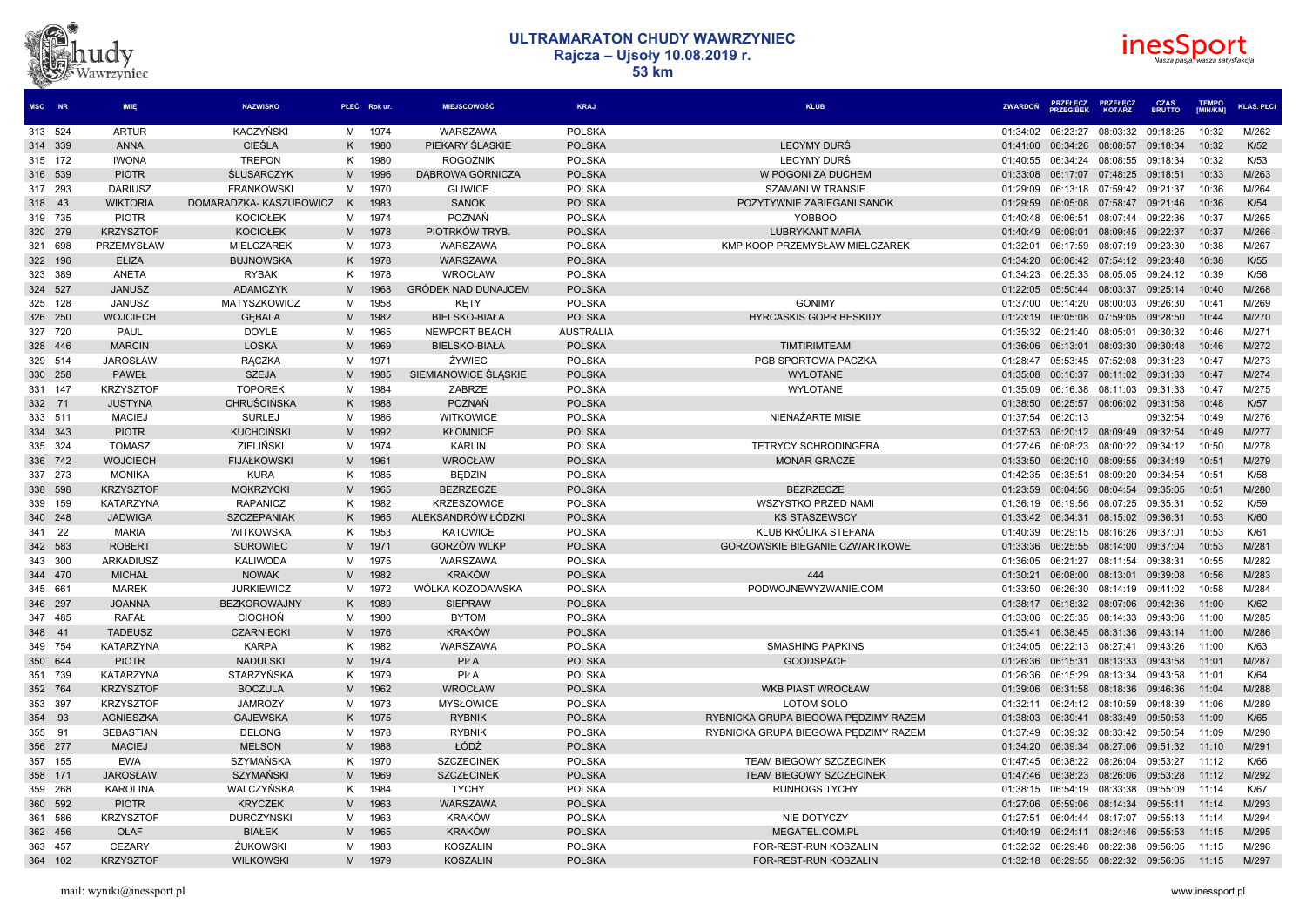



| <b>MSC</b><br><b>NR</b> | <b>IMIE</b>      | <b>NAZWISKO</b>          |   | PŁEĆ Rokur. | <b>MIEJSCOWOŚĆ</b>         | <b>KRAJ</b>      | <b>KLUB</b>                           | <b>ZWARDON</b> | <b>PRZEGIREK</b> | <b>KOTARZ</b>              | <b>BRUTTO</b> | <b>IMIN/KMI</b> | <b>KLAS. PŁCI</b> |
|-------------------------|------------------|--------------------------|---|-------------|----------------------------|------------------|---------------------------------------|----------------|------------------|----------------------------|---------------|-----------------|-------------------|
| 313 524                 | <b>ARTUR</b>     | KACZYŃSKI                | M | 1974        | <b>WARSZAWA</b>            | <b>POLSKA</b>    |                                       | 01:34:02       | 06:23:27         | 08:03:32                   | 09:18:25      | 10:32           | M/262             |
| 314 339                 | <b>ANNA</b>      | <b>CIEŚLA</b>            | K | 1980        | PIEKARY ŚLASKIE            | <b>POLSKA</b>    | <b>LECYMY DURS</b>                    | 01:41:00       | 06:34:26         | 08:08:57 09:18:34          |               | 10:32           | K/52              |
| 315 172                 | <b>IWONA</b>     | <b>TREFON</b>            | K | 1980        | <b>ROGOŹNIK</b>            | <b>POLSKA</b>    | LECYMY DURS                           | 01:40:55       | 06:34:24         | 08:08:55 09:18:34          |               | 10:32           | K/53              |
| 316 539                 | <b>PIOTR</b>     | <b><i>ŚLUSARCZYK</i></b> | M | 1996        | DABROWA GÓRNICZA           | <b>POLSKA</b>    | W POGONI ZA DUCHEM                    | 01:33:08       | 06:17:07         | 07:48:25 09:18:51          |               | 10:33           | M/263             |
| 317 293                 | <b>DARIUSZ</b>   | <b>FRANKOWSKI</b>        | M | 1970        | <b>GLIWICE</b>             | <b>POLSKA</b>    | <b>SZAMANI W TRANSIE</b>              | 01:29:09       | 06:13:18         | 07:59:42 09:21:37          |               | 10:36           | M/264             |
| 318 43                  | <b>WIKTORIA</b>  | DOMARADZKA-KASZUBOWICZ   | K | 1983        | <b>SANOK</b>               | <b>POLSKA</b>    | POZYTYWNIE ZABIEGANI SANOK            | 01:29:59       | 06:05:08         | 07:58:47                   | 09:21:46      | 10:36           | K/54              |
| 319 735                 | <b>PIOTR</b>     | <b>KOCIOŁEK</b>          | M | 1974        | POZNAŃ                     | <b>POLSKA</b>    | <b>YOBBOO</b>                         | 01:40:48       | 06:06:51         | 08:07:44                   | 09:22:36      | 10:37           | M/265             |
| 320 279                 | <b>KRZYSZTOF</b> | <b>KOCIOŁEK</b>          | M | 1978        | PIOTRKÓW TRYB              | <b>POLSKA</b>    | <b>LUBRYKANT MAFIA</b>                | 01:40:49       | 06:09:01         | 08:09:45                   | 09:22:37      | 10:37           | M/266             |
| 321 698                 | PRZEMYSŁAW       | MIELCZAREK               | M | 1973        | WARSZAWA                   | <b>POLSKA</b>    | KMP KOOP PRZEMYSŁAW MIELCZAREK        | 01:32:01       | 06:17:59         | 08:07:19                   | 09:23:30      | 10:38           | M/267             |
| 322 196                 | <b>ELIZA</b>     | <b>BUJNOWSKA</b>         | K | 1978        | WARSZAWA                   | <b>POLSKA</b>    |                                       | 01:34:20       |                  | 06:06:42 07:54:12 09:23:48 |               | 10:38           | K/55              |
| 323 389                 | ANETA            | <b>RYBAK</b>             | ĸ | 1978        | WROCŁAW                    | <b>POLSKA</b>    |                                       | 01:34:23       | 06:25:33         | 08:05:05                   | 09:24:12      | 10:39           | K/56              |
| 324 527                 | <b>JANUSZ</b>    | <b>ADAMCZYK</b>          | M | 1968        | <b>GRÓDEK NAD DUNAJCEM</b> | <b>POLSKA</b>    |                                       | 01:22:05       | 05:50:44         | 08:03:37                   | 09:25:14      | 10:40           | M/268             |
| 325 128                 | <b>JANUSZ</b>    | MATYSZKOWICZ             | м | 1958        | <b>KETY</b>                | <b>POLSKA</b>    | <b>GONIMY</b>                         | 01:37:00       | 06:14:20         | 08:00:03 09:26:30          |               | 10:41           | M/269             |
| 326 250                 | <b>WOJCIECH</b>  | <b>GEBALA</b>            | M | 1982        | <b>BIELSKO-BIAŁA</b>       | <b>POLSKA</b>    | <b>HYRCASKIS GOPR BESKIDY</b>         | 01:23:19       | 06:05:08         | 07:59:05                   | 09:28:50      | 10:44           | M/270             |
| 327 720                 | <b>PAUL</b>      | <b>DOYLE</b>             | м | 1965        | NEWPORT BEACH              | <b>AUSTRALIA</b> |                                       | 01:35:32       | 06:21:40         | 08:05:01                   | 09:30:32      | 10:46           | M/271             |
| 328 446                 | <b>MARCIN</b>    | <b>LOSKA</b>             | M | 1969        | <b>BIELSKO-BIAŁA</b>       | <b>POLSKA</b>    | <b>TIMTIRIMTEAM</b>                   | 01:36:06       | 06:13:01         | 08:03:30                   | 09:30:48      | 10:46           | M/272             |
| 329 514                 | <b>JAROSŁAW</b>  | <b>RACZKA</b>            | M | 1971        | ŻYWIEC                     | <b>POLSKA</b>    | PGB SPORTOWA PACZKA                   | 01:28:47       | 05:53:45         | 07:52:08                   | 09:31:23      | 10:47           | M/273             |
| 330 258                 | <b>PAWEŁ</b>     | <b>SZEJA</b>             | M | 1985        | SIEMIANOWICE ŚLASKIE       | <b>POLSKA</b>    | <b>WYLOTANE</b>                       | 01:35:08       | 06:16:37         | 08:11:02 09:31:33          |               | 10:47           | M/274             |
| 331 147                 | <b>KRZYSZTOF</b> | <b>TOPOREK</b>           | M | 1984        | ZABRZE                     | <b>POLSKA</b>    | <b>WYLOTANE</b>                       | 01:35:09       | 06:16:38         | 08:11:03                   | 09:31:33      | 10:47           | M/275             |
| 332 71                  | <b>JUSTYNA</b>   | <b>CHRUŚCIŃSKA</b>       | K | 1988        | <b>POZNAŃ</b>              | <b>POLSKA</b>    |                                       | 01:38:50       | 06:25:57         | 08:06:02                   | 09:31:58      | 10:48           | K/57              |
| 333 511                 | <b>MACIEJ</b>    | <b>SURLEJ</b>            | M | 1986        | <b>WITKOWICE</b>           | <b>POLSKA</b>    | NIENAŻARTE MISIE                      | 01:37:54       | 06:20:13         |                            | 09:32:54      | 10:49           | M/276             |
| 334 343                 | <b>PIOTR</b>     | <b>KUCHCIŃSKI</b>        | M | 1992        | <b>KŁOMNICE</b>            | <b>POLSKA</b>    |                                       | 01:37:53       | 06:20:12         | 08:09:49                   | 09:32:54      | 10:49           | M/277             |
| 335 324                 | <b>TOMASZ</b>    | <b>ZIELIŃSKI</b>         | M | 1974        | <b>KARLIN</b>              | <b>POLSKA</b>    | <b>TETRYCY SCHRODINGERA</b>           | 01:27:46       | 06:08:23         | 08:00:22 09:34:12          |               | 10:50           | M/278             |
| 336 742                 | <b>WOJCIECH</b>  | <b>FIJAŁKOWSKI</b>       | M | 1961        | <b>WROCŁAW</b>             | <b>POLSKA</b>    | <b>MONAR GRACZE</b>                   | 01:33:50       | 06:20:10         | 08:09:55                   | 09:34:49      | 10:51           | M/279             |
| 337 273                 | <b>MONIKA</b>    | <b>KURA</b>              | K | 1985        | <b>BEDZIN</b>              | <b>POLSKA</b>    |                                       | 01:42:35       | 06:35:51         | 08:09:20                   | 09:34:54      | 10:51           | K/58              |
| 338 598                 | <b>KRZYSZTOF</b> | <b>MOKRZYCKI</b>         | M | 1965        | <b>BEZRZECZE</b>           | <b>POLSKA</b>    | <b>BEZRZECZE</b>                      | 01:23:59       | 06:04:56         | 08:04:54                   | 09:35:05      | 10:51           | M/280             |
| 339 159                 | <b>KATARZYNA</b> | RAPANICZ                 | ĸ | 1982        | <b>KRZESZOWICE</b>         | <b>POLSKA</b>    | <b>WSZYSTKO PRZED NAMI</b>            | 01:36:19       | 06:19:56         | 08:07:25                   | 09:35:31      | 10:52           | K/59              |
| 340 248                 | <b>JADWIGA</b>   | <b>SZCZEPANIAK</b>       | K | 1965        | ALEKSANDRÓW ŁÓDZKI         | <b>POLSKA</b>    | <b>KS STASZEWSCY</b>                  | 01:33:42       | 06:34:31         | 08:15:02 09:36:31          |               | 10:53           | K/60              |
| 22<br>341               | <b>MARIA</b>     | <b>WITKOWSKA</b>         | K | 1953        | <b>KATOWICE</b>            | <b>POLSKA</b>    | KLUB KRÓLIKA STEFANA                  | 01:40:39       | 06:29:15         | 08:16:26                   | 09:37:01      | 10:53           | K/61              |
| 342 583                 | <b>ROBERT</b>    | <b>SUROWIEC</b>          | M | 1971        | <b>GORZÓW WLKP</b>         | <b>POLSKA</b>    | <b>GORZOWSKIE BIEGANIE CZWARTKOWE</b> | 01:33:36       | 06:25:55         | 08:14:00                   | 09:37:04      | 10:53           | M/281             |
| 343 300                 | <b>ARKADIUSZ</b> | <b>KALIWODA</b>          | M | 1975        | WARSZAWA                   | <b>POLSKA</b>    |                                       | 01:36:05       | 06:21:27         | 08:11:54                   | 09:38:31      | 10:55           | M/282             |
| 344 470                 | <b>MICHAŁ</b>    | <b>NOWAK</b>             | M | 1982        | <b>KRAKÓW</b>              | <b>POLSKA</b>    | 444                                   | 01:30:21       | 06:08:00         | 08:13:01                   | 09:39:08      | 10:56           | M/283             |
| 345 661                 | <b>MAREK</b>     | <b>JURKIEWICZ</b>        | M | 1972        | WÓLKA KOZODAWSKA           | <b>POLSKA</b>    | PODWOJNEWYZWANIE.COM                  | 01:33:50       | 06:26:30         | 08:14:19 09:41:02          |               | 10:58           | M/284             |
| 346 297                 | <b>JOANNA</b>    | <b>BEZKOROWAJNY</b>      |   | 1989        | <b>SIEPRAW</b>             | <b>POLSKA</b>    |                                       | 01:38:17       | 06:18:32         | 08:07:06                   | 09:42:36      | 11:00           | K/62              |
| 347 485                 | <b>RAFAŁ</b>     | <b>CIOCHON</b>           | M | 1980        | <b>BYTOM</b>               | <b>POLSKA</b>    |                                       | 01:33:06       | 06:25:35         | 08:14:33                   | 09:43:06      | 11:00           | M/285             |
| 348 41                  | <b>TADEUSZ</b>   | <b>CZARNIECKI</b>        | M | 1976        | <b>KRAKÓW</b>              | <b>POLSKA</b>    |                                       | 01:35:41       | 06:38:45         | 08:31:36                   | 09:43:14      | 11:00           | M/286             |
| 349 754                 | <b>KATARZYNA</b> | <b>KARPA</b>             | K | 1982        | WARSZAWA                   | <b>POLSKA</b>    | <b>SMASHING PAPKINS</b>               | 01:34:05       | 06:22:13         | 08:27:41                   | 09:43:26      | 11:00           | K/63              |
| 350 644                 | <b>PIOTR</b>     | <b>NADULSKI</b>          | M | 1974        | PIŁA                       | <b>POLSKA</b>    | <b>GOODSPACE</b>                      | 01:26:36       | 06:15:31         | 08:13:33                   | 09:43:58      | 11:01           | M/287             |
| 739<br>351              | <b>KATARZYNA</b> | STARZYŃSKA               | ĸ | 1979        | PIŁA                       | <b>POLSKA</b>    |                                       | 01:26:36       | 06:15:29         | 08:13:34                   | 09:43:58      | 11:01           | K/64              |
| 352 764                 | <b>KRZYSZTOF</b> | <b>BOCZULA</b>           | M | 1962        | <b>WROCŁAW</b>             | <b>POLSKA</b>    | <b>WKB PIAST WROCŁAW</b>              | 01:39:06       | 06:31:58         | 08:18:36                   | 09:46:36      | 11:04           | M/288             |
| 353 397                 | <b>KRZYSZTOF</b> | <b>JAMROZY</b>           | м | 1973        | <b>MYSŁOWICE</b>           | <b>POLSKA</b>    | LOTOM SOLO                            | 01:32:11       | 06:24:12         | 08:10:59                   | 09:48:39      | 11:06           | M/289             |
| 354 93                  | <b>AGNIESZKA</b> | <b>GAJEWSKA</b>          | K | 1975        | <b>RYBNIK</b>              | <b>POLSKA</b>    | RYBNICKA GRUPA BIEGOWA PEDZIMY RAZEM  | 01:38:03       | 06:39:41         | 08:33:49                   | 09:50:53      | 11:09           | K/65              |
| 355 91                  | <b>SEBASTIAN</b> | <b>DELONG</b>            | M | 1978        | <b>RYBNIK</b>              | <b>POLSKA</b>    | RYBNICKA GRUPA BIEGOWA PEDZIMY RAZEM  | 01:37:49       | 06:39:32         | 08:33:42                   | 09:50:54      | 11:09           | M/290             |
| 356 277                 | <b>MACIEJ</b>    | <b>MELSON</b>            | M | 1988        | ŁÓDŹ                       | <b>POLSKA</b>    |                                       | 01:34:20       | 06:39:34         | 08:27:06                   | 09:51:32      | 11:10           | M/291             |
| 357 155                 | <b>EWA</b>       | SZYMAŃSKA                | K | 1970        | <b>SZCZECINEK</b>          | <b>POLSKA</b>    | TEAM BIEGOWY SZCZECINEK               | 01:47:45       | 06:38:22         | 08:26:04                   | 09:53:27      | 11:12           | K/66              |
| 358 171                 | <b>JAROSŁAW</b>  | <b>SZYMAŃSKI</b>         | M | 1969        | <b>SZCZECINEK</b>          | <b>POLSKA</b>    | TEAM BIEGOWY SZCZECINEK               | 01:47:46       |                  | 06:38:23 08:26:06 09:53:28 |               | 11:12           | M/292             |
| 359 268                 | <b>KAROLINA</b>  | <b>WALCZYŃSKA</b>        | ĸ | 1984        | <b>TYCHY</b>               | <b>POLSKA</b>    | <b>RUNHOGS TYCHY</b>                  | 01:38:15       | 06:54:19         | 08:33:38                   | 09:55:09      | 11:14           | K/67              |
| 360 592                 | <b>PIOTR</b>     | <b>KRYCZEK</b>           | M | 1963        | WARSZAWA                   | <b>POLSKA</b>    |                                       | 01:27:06       | 05:59:06         | 08:14:34                   | 09:55:11      | 11:14           | M/293             |
| 586<br>361              | <b>KRZYSZTOF</b> | <b>DURCZYŃSKI</b>        | М | 1963        | <b>KRAKÓW</b>              | <b>POLSKA</b>    | NIE DOTYCZY                           | 01:27:51       | 06:04:44         | 08:17:07                   | 09:55:13      | 11:14           | M/294             |
| 362 456                 | <b>OLAF</b>      | <b>BIAŁEK</b>            | M | 1965        | <b>KRAKÓW</b>              | <b>POLSKA</b>    | MEGATEL.COM.PL                        | 01:40:19       | 06:24:11         | 08:24:46                   | 09:55:53      | 11:15           | M/295             |
| 363 457                 | <b>CEZARY</b>    | ŻUKOWSKI                 | M | 1983        | <b>KOSZALIN</b>            | <b>POLSKA</b>    | FOR-REST-RUN KOSZALIN                 | 01:32:32       | 06:29:48         | 08:22:38                   | 09:56:05      | 11:15           | M/296             |
| 364 102                 | <b>KRZYSZTOF</b> | <b>WILKOWSKI</b>         | M | 1979        | <b>KOSZALIN</b>            | <b>POLSKA</b>    | FOR-REST-RUN KOSZALIN                 | 01:32:18       |                  | 06:29:55 08:22:32 09:56:05 |               | 11:15           | M/297             |
|                         |                  |                          |   |             |                            |                  |                                       |                |                  |                            |               |                 |                   |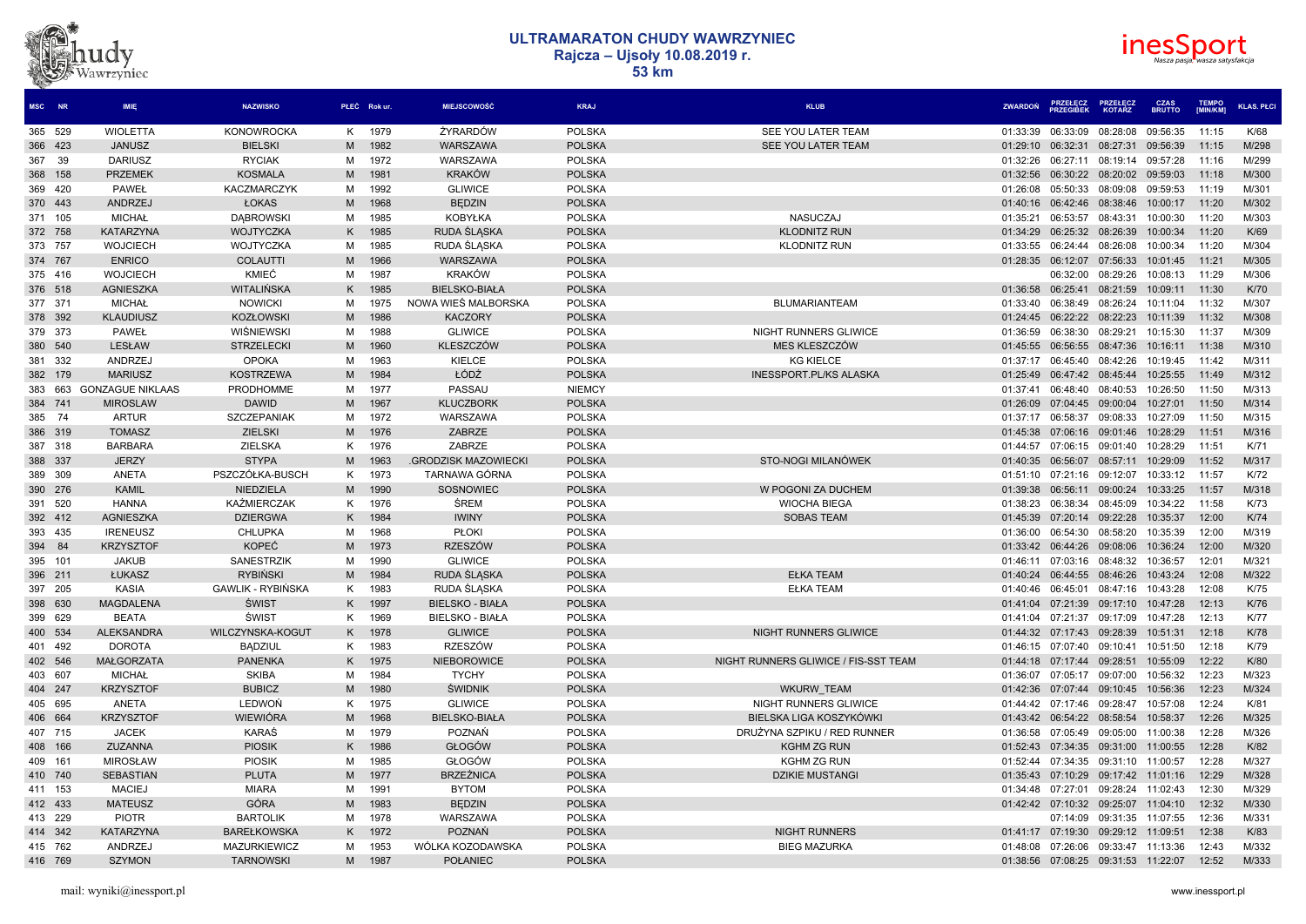



| <b>MSC</b> | <b>NR</b> | <b>IMIE</b>             | <b>NAZWISKO</b>          |   | PŁEĆ Rokur | MIEJSCOWOŚĆ                | <b>KRAJ</b>   | <b>KLUB</b>                          | <b>ZWARDON</b> | <b>PRZEGIREK</b>                    | <b>KOTARZ</b> | <b>BRUTTO</b> | <b>IMIN/KMI</b> | <b>KLAS, PŁCI</b> |
|------------|-----------|-------------------------|--------------------------|---|------------|----------------------------|---------------|--------------------------------------|----------------|-------------------------------------|---------------|---------------|-----------------|-------------------|
| 365 529    |           | <b>WIOLETTA</b>         | <b>KONOWROCKA</b>        | K | 1979       | ŻYRARDÓW                   | <b>POLSKA</b> | SEE YOU LATER TEAM                   | 01:33:39       | 06:33:09                            | 08:28:08      | 09:56:35      | 11:15           | K/68              |
| 366 423    |           | <b>JANUSZ</b>           | <b>BIELSKI</b>           | M | 1982       | WARSZAWA                   | <b>POLSKA</b> | SEE YOU LATER TEAM                   | 01:29:10       | 06:32:31                            | 08:27:31      | 09:56:39      | 11:15           | M/298             |
| 367 39     |           | <b>DARIUSZ</b>          | <b>RYCIAK</b>            | м | 1972       | WARSZAWA                   | <b>POLSKA</b> |                                      | 01:32:26       | 06:27:11                            | 08:19:14      | 09:57:28      | 11:16           | M/299             |
| 368 158    |           | <b>PRZEMEK</b>          | <b>KOSMALA</b>           | M | 1981       | <b>KRAKÓW</b>              | <b>POLSKA</b> |                                      | 01:32:56       | 06:30:22                            | 08:20:02      | 09:59:03      | 11:18           | M/300             |
| 369 420    |           | <b>PAWEŁ</b>            | KACZMARCZYK              | м | 1992       | <b>GLIWICE</b>             | <b>POLSKA</b> |                                      | 01:26:08       | 05:50:33                            | 08:09:08      | 09:59:53      | 11:19           | M/301             |
| 370 443    |           | <b>ANDRZEJ</b>          | ŁOKAS                    | M | 1968       | <b>BEDZIN</b>              | <b>POLSKA</b> |                                      | 01:40:16       | 06:42:46                            | 08:38:46      | 10:00:17      | 11:20           | M/302             |
| 371 105    |           | <b>MICHAŁ</b>           | <b>DABROWSK</b>          | M | 1985       | KOBYŁKA                    | <b>POLSKA</b> | <b>NASUCZAJ</b>                      | 01:35:21       | 06:53:57                            | 08:43:31      | 10:00:30      | 11:20           | M/303             |
| 372 758    |           | <b>KATARZYNA</b>        | WOJTYCZKA                | K | 1985       | RUDA ŚLASKA                | <b>POLSKA</b> | <b>KLODNITZ RUN</b>                  | 01:34:29       | 06:25:32 08:26:39                   |               | 10:00:34      | 11:20           | K/69              |
| 373 757    |           | <b>WOJCIECH</b>         | WOJTYCZKA                | м | 1985       | RUDA ŚLASKA                | <b>POLSKA</b> | <b>KLODNITZ RUN</b>                  | 01:33:55       | 06:24:44                            | 08:26:08      | 10:00:34      | 11:20           | M/304             |
| 374 767    |           | <b>ENRICO</b>           | <b>COLAUTTI</b>          | M | 1966       | WARSZAWA                   | <b>POLSKA</b> |                                      |                | 01:28:35 06:12:07                   | 07:56:33      | 10:01:45      | 11:21           | M/305             |
| 375 416    |           | <b>WOJCIECH</b>         | KMIEĆ                    | М | 1987       | <b>KRAKÓW</b>              | <b>POLSKA</b> |                                      |                | 06:32:00                            | 08:29:26      | 10:08:13      | 11:29           | M/306             |
| 376 518    |           | <b>AGNIESZKA</b>        | WITALIŃSKA               | Κ | 1985       | <b>BIELSKO-BIAŁA</b>       | <b>POLSKA</b> |                                      | 01:36:58       | 06:25:41                            | 08:21:59      | 10:09:11      | 11:30           | K/70              |
| 377 371    |           | <b>MICHAŁ</b>           | <b>NOWICKI</b>           | м | 1975       | NOWA WIES MALBORSKA        | <b>POLSKA</b> | <b>BLUMARIANTEAM</b>                 | 01:33:40       | 06:38:49                            | 08:26:24      | 10:11:04      | 11:32           | M/307             |
| 378 392    |           | <b>KLAUDIUSZ</b>        | <b>KOZŁOWSKI</b>         | M | 1986       | <b>KACZORY</b>             | <b>POLSKA</b> |                                      |                | 01:24:45 06:22:22 08:22:23          |               | 10:11:39      | 11:32           | M/308             |
| 379 373    |           | <b>PAWEŁ</b>            | <b>WIŚNIEWSKI</b>        | м | 1988       | <b>GLIWICE</b>             | <b>POLSKA</b> | NIGHT RUNNERS GLIWICE                | 01:36:59       | 06:38:30                            | 08:29:21      | 10:15:30      | 11:37           | M/309             |
| 380 540    |           | <b>LESŁAW</b>           | <b>STRZELECKI</b>        | M | 1960       | KLESZCZÓW                  | <b>POLSKA</b> | MES KLESZCZÓW                        | 01:45:55       | 06:56:55                            | 08:47:36      | 10:16:11      | 11:38           | M/310             |
| 381 332    |           | ANDRZEJ                 | <b>OPOKA</b>             | М | 1963       | <b>KIELCE</b>              | <b>POLSKA</b> | <b>KG KIELCE</b>                     | 01:37:17       | 06:45:40                            | 08:42:26      | 10:19:45      | 11:42           | M/311             |
| 382 179    |           | <b>MARIUSZ</b>          | <b>KOSTRZEWA</b>         | M | 1984       | ŁÓDŹ                       | <b>POLSKA</b> | <b>INESSPORT.PL/KS ALASKA</b>        | 01:25:49       | 06:47:42 08:45:44                   |               | 10:25:55      | 11:49           | M/312             |
| 383 663    |           | <b>GONZAGUE NIKLAAS</b> | <b>PRODHOMME</b>         | м | 1977       | PASSAU                     | <b>NIEMCY</b> |                                      | 01:37:41       | 06:48:40                            | 08:40:53      | 10:26:50      | 11:50           | M/313             |
| 384 741    |           | <b>MIROSLAW</b>         | <b>DAWID</b>             | M | 1967       | <b>KLUCZBORK</b>           | <b>POLSKA</b> |                                      | 01:26:09       | 07:04:45 09:00:04                   |               | 10:27:01      | 11:50           | M/314             |
| 385        | - 74      | <b>ARTUR</b>            | SZCZEPANIAK              | м | 1972       | WARSZAWA                   | <b>POLSKA</b> |                                      | 01:37:17       | 06:58:37                            | 09:08:33      | 10:27:09      | 11:50           | M/315             |
| 386 319    |           | <b>TOMASZ</b>           | <b>ZIELSKI</b>           | M | 1976       | <b>ZABRZE</b>              | <b>POLSKA</b> |                                      | 01:45:38       | 07:06:16                            | 09:01:46      | 10:28:29      | 11:51           | M/316             |
| 387 318    |           | <b>BARBARA</b>          | ZIELSKA                  | K | 1976       | ZABRZE                     | <b>POLSKA</b> |                                      | 01:44:57       | 07:06:15                            | 09:01:40      | 10:28:29      | 11:51           | K/71              |
| 388 337    |           | <b>JERZY</b>            | <b>STYPA</b>             | M | 1963       | <b>GRODZISK MAZOWIECKI</b> | <b>POLSKA</b> | STO-NOGI MILANÓWEK                   |                | 01:40:35 06:56:07                   | 08:57:11      | 10:29:09      | 11:52           | M/317             |
| 389 309    |           | ANETA                   | PSZCZÓŁKA-BUSCH          | K | 1973       | TARNAWA GÓRNA              | <b>POLSKA</b> |                                      | 01:51:10       | 07:21:16                            | 09:12:07      | 10:33:12      | 11:57           | K/72              |
| 390 276    |           | <b>KAMIL</b>            | NIEDZIELA                | M | 1990       | SOSNOWIEC                  | <b>POLSKA</b> | W POGONI ZA DUCHEM                   | 01:39:38       | 06:56:11                            | 09:00:24      | 10:33:25      | 11:57           | M/318             |
| 391 520    |           | <b>HANNA</b>            | KAŹMIERCZAK              | Κ | 1976       | <b>ŚREM</b>                | <b>POLSKA</b> | <b>WIOCHA BIEGA</b>                  | 01:38:23       | 06:38:34                            | 08:45:09      | 10:34:22      | 11:58           | K/73              |
| 392 412    |           | <b>AGNIESZKA</b>        | <b>DZIERGWA</b>          | K | 1984       | <b>IWINY</b>               | <b>POLSKA</b> | <b>SOBAS TEAM</b>                    |                | 01:45:39 07:20:14 09:22:28          |               | 10:35:37      | 12:00           | K/74              |
| 393 435    |           | <b>IRENEUSZ</b>         | <b>CHLUPKA</b>           | м | 1968       | <b>PŁOKI</b>               | <b>POLSKA</b> |                                      | 01:36:00       | 06:54:30                            | 08:58:20      | 10:35:39      | 12:00           | M/319             |
| 394        | 84        | <b>KRZYSZTOF</b>        | <b>KOPEĆ</b>             | M | 1973       | <b>RZESZÓW</b>             | <b>POLSKA</b> |                                      | 01:33:42       | 06:44:26                            | 09:08:06      | 10:36:24      | 12:00           | M/320             |
| 395 101    |           | <b>JAKUB</b>            | SANESTRZIK               | м | 1990       | <b>GLIWICE</b>             | <b>POLSKA</b> |                                      | 01:46:11       | 07:03:16                            | 08:48:32      | 10:36:57      | 12:01           | M/321             |
| 396 211    |           | ŁUKASZ                  | <b>RYBINSKI</b>          | M | 1984       | RUDA SLASKA                | <b>POLSKA</b> | <b>EŁKA TEAM</b>                     | 01:40:24       | 06:44:55                            | 08:46:26      | 10:43:24      | 12:08           | M/322             |
| 397 205    |           | <b>KASIA</b>            | <b>GAWLIK - RYBIŃSKA</b> | K | 1983       | RUDA ŚLASKA                | <b>POLSKA</b> | <b>EŁKA TEAM</b>                     | 01:40:46       | 06:45:01                            | 08:47:16      | 10:43:28      | 12:08           | K/75              |
| 398 630    |           | <b>MAGDALENA</b>        | <b>ŚWIST</b>             | Κ | 1997       | <b>BIELSKO - BIAŁA</b>     | <b>POLSKA</b> |                                      | 01:41:04       | 07:21:39                            | 09:17:10      | 10:47:28      | 12:13           | K/76              |
| 399 629    |           | <b>BEATA</b>            | <b>ŚWIST</b>             | Κ | 1969       | <b>BIELSKO - BIAŁA</b>     | <b>POLSKA</b> |                                      | 01:41:04       | 07:21:37                            | 09:17:09      | 10:47:28      | 12:13           | <b>K/77</b>       |
| 400 534    |           | <b>ALEKSANDRA</b>       | WILCZYNSKA-KOGUT         | Κ | 1978       | <b>GLIWICE</b>             | <b>POLSKA</b> | NIGHT RUNNERS GLIWICE                | 01:44:32       | 07:17:43                            | 09:28:39      | 10:51:31      | 12:18           | K/78              |
| 401 492    |           | <b>DOROTA</b>           | <b>BADZIUL</b>           | K | 1983       | <b>RZESZÓW</b>             | <b>POLSKA</b> |                                      | 01:46:15       | 07:07:40                            | 09:10:41      | 10:51:50      | 12:18           | K/79              |
| 402 546    |           | <b>MAŁGORZATA</b>       | <b>PANENKA</b>           | Κ | 1975       | <b>NIEBOROWICE</b>         | <b>POLSKA</b> | NIGHT RUNNERS GLIWICE / FIS-SST TEAM |                | 01:44:18 07:17:44 09:28:51          |               | 10:55:09      | 12:22           | K/80              |
| 403 607    |           | <b>MICHAŁ</b>           | <b>SKIBA</b>             | м | 1984       | <b>TYCHY</b>               | <b>POLSKA</b> |                                      | 01:36:07       | 07:05:17                            | 09:07:00      | 10:56:32      | 12:23           | M/323             |
| 404 247    |           | <b>KRZYSZTOF</b>        | <b>BUBICZ</b>            | M | 1980       | <b>ŚWIDNIK</b>             | <b>POLSKA</b> | <b>WKURW TEAM</b>                    | 01:42:36       | 07:07:44                            | 09:10:45      | 10:56:36      | 12:23           | M/324             |
| 405 695    |           | ANETA                   | LEDWOŃ                   | K | 1975       | <b>GLIWICE</b>             | <b>POLSKA</b> | NIGHT RUNNERS GLIWICE                | 01:44:42       | 07:17:46                            | 09:28:47      | 10:57:08      | 12:24           | K/81              |
| 406 664    |           | <b>KRZYSZTOF</b>        | <b>WIEWIÓRA</b>          | M | 1968       | <b>BIELSKO-BIAŁA</b>       | <b>POLSKA</b> | BIELSKA LIGA KOSZYKÓWKI              | 01:43:42       | 06:54:22                            | 08:58:54      | 10:58:37      | 12:26           | M/325             |
| 407 715    |           | <b>JACEK</b>            | KARAŚ                    | M | 1979       | POZNAŃ                     | <b>POLSKA</b> | DRUŻYNA SZPIKU / RED RUNNER          | 01:36:58       | 07:05:49                            | 09:05:00      | 11:00:38      | 12:28           | M/326             |
| 408 166    |           | <b>ZUZANNA</b>          | <b>PIOSIK</b>            | K | 1986       | GŁOGÓW                     | <b>POLSKA</b> | <b>KGHM ZG RUN</b>                   | 01:52:43       | 07:34:35                            | 09:31:00      | 11:00:55      | 12:28           | K/82              |
| 409 161    |           | <b>MIROSŁAW</b>         | <b>PIOSIK</b>            | м | 1985       | GŁOGÓW                     | <b>POLSKA</b> | <b>KGHM ZG RUN</b>                   | 01:52:44       | 07:34:35                            | 09:31:10      | 11:00:57      | 12:28           | M/327             |
| 410 740    |           | <b>SEBASTIAN</b>        | <b>PLUTA</b>             | M | 1977       | <b>BRZEŹNICA</b>           | <b>POLSKA</b> | <b>DZIKIE MUSTANG</b>                | 01:35:43       | 07:10:29                            | 09:17:42      | 11:01:16      | 12:29           | M/328             |
| 411 153    |           | <b>MACIEJ</b>           | <b>MIARA</b>             | м | 1991       | <b>BYTOM</b>               | <b>POLSKA</b> |                                      | 01:34:48       | 07:27:01                            | 09:28:24      | 11:02:43      | 12:30           | M/329             |
| 412 433    |           | <b>MATEUSZ</b>          | GÓRA                     | M | 1983       | <b>BEDZIN</b>              | <b>POLSKA</b> |                                      |                | 01:42:42 07:10:32 09:25:07          |               | 11:04:10      | 12:32           | M/330             |
| 413 229    |           | <b>PIOTR</b>            | <b>BARTOLIK</b>          | М | 1978       | WARSZAWA                   | <b>POLSKA</b> |                                      |                | 07:14:09                            | 09:31:35      | 11:07:55      | 12:36           | M/331             |
| 414 342    |           | <b>KATARZYNA</b>        | <b>BAREŁKOWSKA</b>       | K | 1972       | POZNAŃ                     | <b>POLSKA</b> | <b>NIGHT RUNNERS</b>                 |                | 01:41:17 07:19:30                   | 09:29:12      | 11:09:51      | 12:38           | K/83              |
| 415 762    |           | <b>ANDRZEJ</b>          | MAZURKIEWICZ             | м | 1953       | WÓLKA KOZODAWSKA           | <b>POLSKA</b> | <b>BIEG MAZURKA</b>                  | 01:48:08       | 07:26:06 09:33:47 11:13:36          |               |               | 12:43           | M/332             |
| 416 769    |           | <b>SZYMON</b>           | <b>TARNOWSKI</b>         | M | 1987       | <b>POŁANIEC</b>            | <b>POLSKA</b> |                                      |                | 01:38:56 07:08:25 09:31:53 11:22:07 |               |               | 12:52           | M/333             |
|            |           |                         |                          |   |            |                            |               |                                      |                |                                     |               |               |                 |                   |